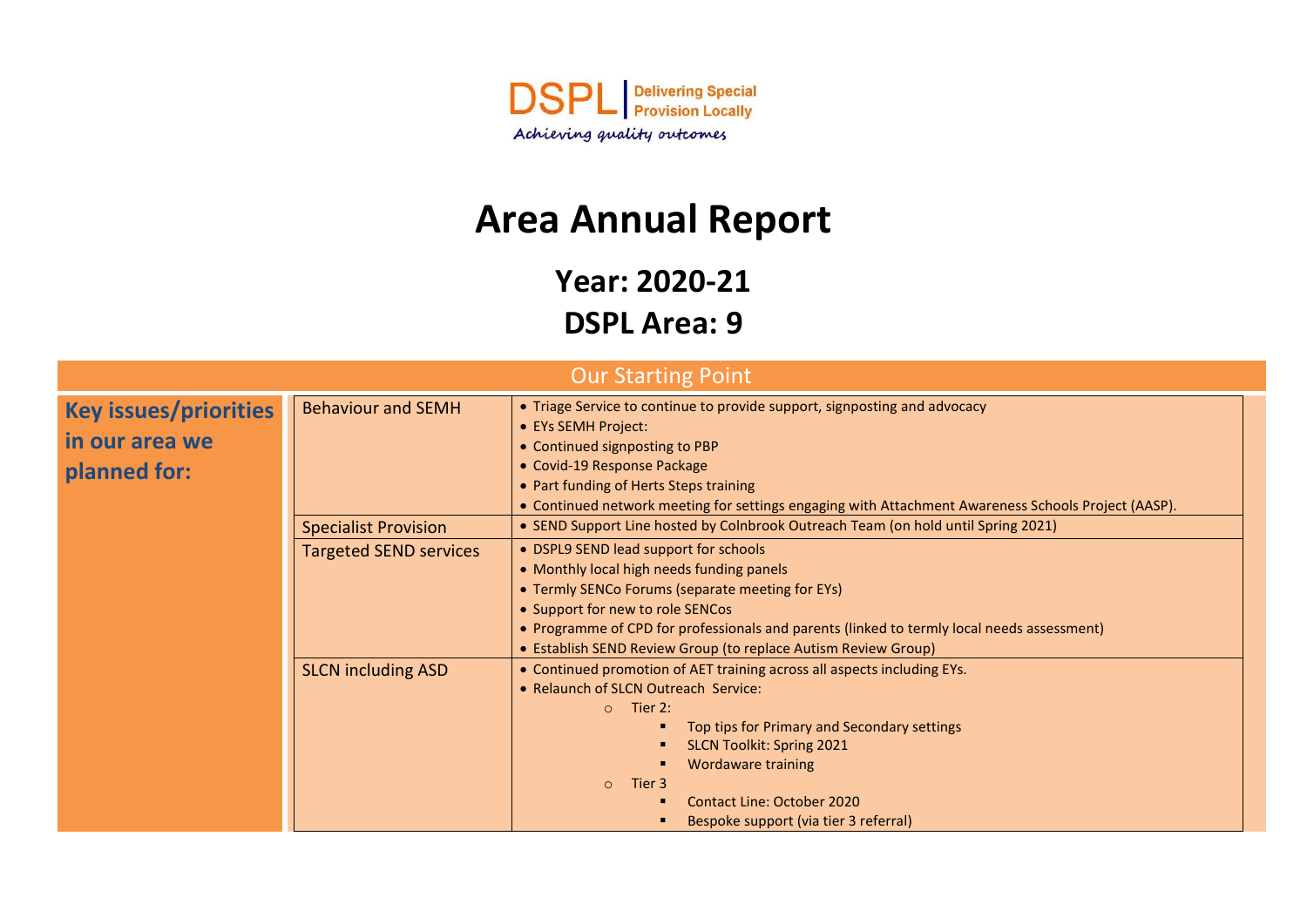

# **Area Annual Report**

**Year: 2020-21**

| <b>DSPL Area: 9</b> |  |
|---------------------|--|
|---------------------|--|

|                                                                |                             | <b>Our Starting Point</b>                                                                                                                                                                                                                                                                                                                      |  |
|----------------------------------------------------------------|-----------------------------|------------------------------------------------------------------------------------------------------------------------------------------------------------------------------------------------------------------------------------------------------------------------------------------------------------------------------------------------|--|
| <b>Key issues/priorities</b><br>in our area we<br>planned for: | <b>Behaviour and SEMH</b>   | • Triage Service to continue to provide support, signposting and advocacy<br>• EYs SEMH Project:<br>• Continued signposting to PBP<br>• Covid-19 Response Package<br>• Part funding of Herts Steps training<br>• Continued network meeting for settings engaging with Attachment Awareness Schools Project (AASP).                             |  |
|                                                                | <b>Specialist Provision</b> | • SEND Support Line hosted by Colnbrook Outreach Team (on hold until Spring 2021)                                                                                                                                                                                                                                                              |  |
| <b>Targeted SEND services</b>                                  |                             | • DSPL9 SEND lead support for schools<br>• Monthly local high needs funding panels<br>• Termly SENCo Forums (separate meeting for EYs)<br>• Support for new to role SENCos<br>• Programme of CPD for professionals and parents (linked to termly local needs assessment)<br>• Establish SEND Review Group (to replace Autism Review Group)     |  |
|                                                                | <b>SLCN including ASD</b>   | • Continued promotion of AET training across all aspects including EYs.<br>• Relaunch of SLCN Outreach Service:<br>$\circ$ Tier 2:<br>Top tips for Primary and Secondary settings<br><b>SLCN Toolkit: Spring 2021</b><br>Wordaware training<br>Tier 3<br>$\circ$<br><b>Contact Line: October 2020</b><br>Bespoke support (via tier 3 referral) |  |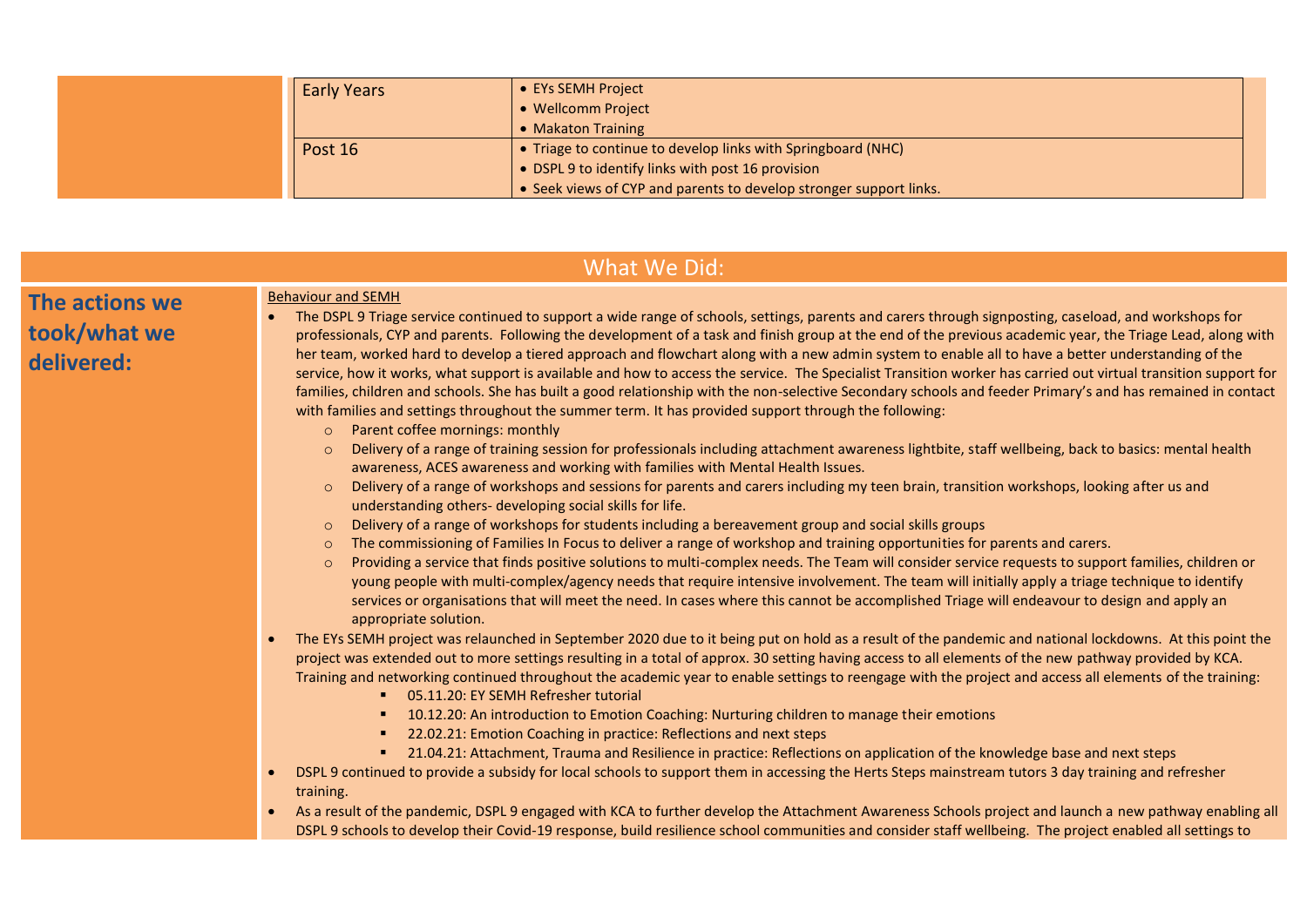| <b>Early Years</b> | • EYs SEMH Project<br>• Wellcomm Project<br>• Makaton Training                                                                                                                          |
|--------------------|-----------------------------------------------------------------------------------------------------------------------------------------------------------------------------------------|
| Post 16            | • Triage to continue to develop links with Springboard (NHC)<br>• DSPL 9 to identify links with post 16 provision<br>• Seek views of CYP and parents to develop stronger support links. |

|                                              | What We Did:                                                                                                                                                                                                                                                                                                                                                                                                                                                                                                                                                                                                                                                                                                                                                                                                                                                                                                                                                                                                                                                                                                                                                                                                                                                                                                                                                                                   |
|----------------------------------------------|------------------------------------------------------------------------------------------------------------------------------------------------------------------------------------------------------------------------------------------------------------------------------------------------------------------------------------------------------------------------------------------------------------------------------------------------------------------------------------------------------------------------------------------------------------------------------------------------------------------------------------------------------------------------------------------------------------------------------------------------------------------------------------------------------------------------------------------------------------------------------------------------------------------------------------------------------------------------------------------------------------------------------------------------------------------------------------------------------------------------------------------------------------------------------------------------------------------------------------------------------------------------------------------------------------------------------------------------------------------------------------------------|
| The actions we<br>took/what we<br>delivered: | <b>Behaviour and SEMH</b><br>The DSPL 9 Triage service continued to support a wide range of schools, settings, parents and carers through signposting, caseload, and workshops for<br>professionals, CYP and parents. Following the development of a task and finish group at the end of the previous academic year, the Triage Lead, along with<br>her team, worked hard to develop a tiered approach and flowchart along with a new admin system to enable all to have a better understanding of the<br>service, how it works, what support is available and how to access the service. The Specialist Transition worker has carried out virtual transition support for<br>families, children and schools. She has built a good relationship with the non-selective Secondary schools and feeder Primary's and has remained in contact<br>with families and settings throughout the summer term. It has provided support through the following:<br>Parent coffee mornings: monthly<br>$\circ$                                                                                                                                                                                                                                                                                                                                                                                                |
|                                              | Delivery of a range of training session for professionals including attachment awareness lightbite, staff wellbeing, back to basics: mental health<br>$\Omega$<br>awareness, ACES awareness and working with families with Mental Health Issues.<br>Delivery of a range of workshops and sessions for parents and carers including my teen brain, transition workshops, looking after us and<br>$\circ$<br>understanding others- developing social skills for life.<br>Delivery of a range of workshops for students including a bereavement group and social skills groups<br>$\circ$<br>The commissioning of Families In Focus to deliver a range of workshop and training opportunities for parents and carers.<br>$\circ$<br>Providing a service that finds positive solutions to multi-complex needs. The Team will consider service requests to support families, children or<br>$\circ$<br>young people with multi-complex/agency needs that require intensive involvement. The team will initially apply a triage technique to identify<br>services or organisations that will meet the need. In cases where this cannot be accomplished Triage will endeavour to design and apply an<br>appropriate solution.<br>The EYs SEMH project was relaunched in September 2020 due to it being put on hold as a result of the pandemic and national lockdowns. At this point the<br>$\bullet$ |
|                                              | project was extended out to more settings resulting in a total of approx. 30 setting having access to all elements of the new pathway provided by KCA.<br>Training and networking continued throughout the academic year to enable settings to reengage with the project and access all elements of the training:<br>■ 05.11.20: EY SEMH Refresher tutorial<br>10.12.20: An introduction to Emotion Coaching: Nurturing children to manage their emotions<br>■ 22.02.21: Emotion Coaching in practice: Reflections and next steps<br>"21.04.21: Attachment, Trauma and Resilience in practice: Reflections on application of the knowledge base and next steps<br>DSPL 9 continued to provide a subsidy for local schools to support them in accessing the Herts Steps mainstream tutors 3 day training and refresher<br>training.<br>As a result of the pandemic, DSPL 9 engaged with KCA to further develop the Attachment Awareness Schools project and launch a new pathway enabling all<br>DSPL 9 schools to develop their Covid-19 response, build resilience school communities and consider staff wellbeing. The project enabled all settings to                                                                                                                                                                                                                                       |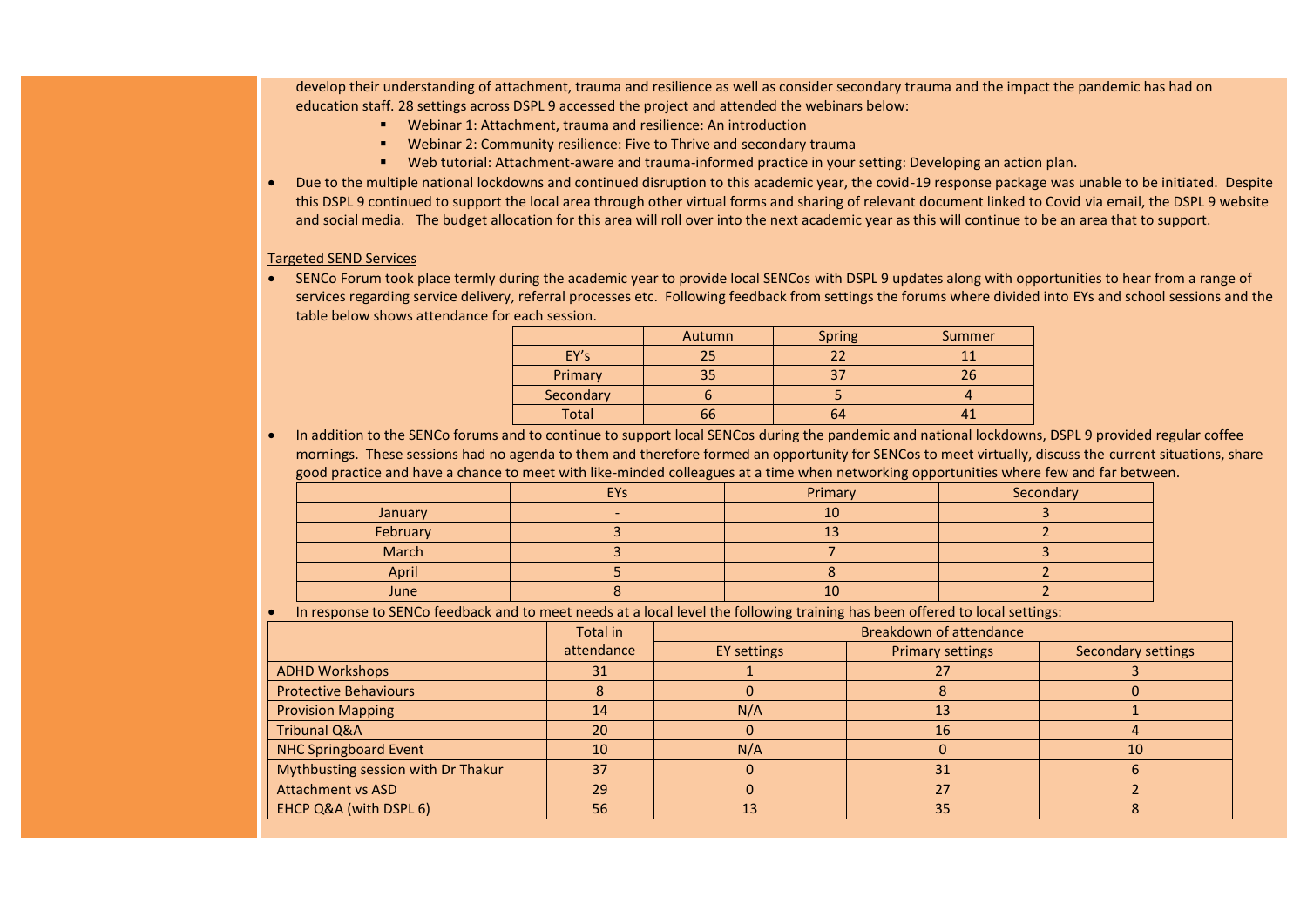develop their understanding of attachment, trauma and resilience as well as consider secondary trauma and the impact the pandemic has had on education staff. 28 settings across DSPL 9 accessed the project and attended the webinars below:

- Webinar 1: Attachment, trauma and resilience: An introduction
- Webinar 2: Community resilience: Five to Thrive and secondary trauma
- Web tutorial: Attachment-aware and trauma-informed practice in your setting: Developing an action plan.
- Due to the multiple national lockdowns and continued disruption to this academic year, the covid-19 response package was unable to be initiated. Despite this DSPL 9 continued to support the local area through other virtual forms and sharing of relevant document linked to Covid via email, the DSPL 9 website and social media. The budget allocation for this area will roll over into the next academic year as this will continue to be an area that to support.

#### Targeted SEND Services

 SENCo Forum took place termly during the academic year to provide local SENCos with DSPL 9 updates along with opportunities to hear from a range of services regarding service delivery, referral processes etc. Following feedback from settings the forums where divided into EYs and school sessions and the table below shows attendance for each session.

|              | Autumn | <b>Spring</b> | Summer |
|--------------|--------|---------------|--------|
| EY's         | 25     | 22            |        |
| Primary      | 35     | 37            | 26     |
| Secondary    |        |               |        |
| <b>Total</b> |        | 64            |        |

 In addition to the SENCo forums and to continue to support local SENCos during the pandemic and national lockdowns, DSPL 9 provided regular coffee mornings. These sessions had no agenda to them and therefore formed an opportunity for SENCos to meet virtually, discuss the current situations, share good practice and have a chance to meet with like-minded colleagues at a time when networking opportunities where few and far between.

|             | <b>EYs</b> | Primary | Secondary |
|-------------|------------|---------|-----------|
| January     |            | 10      |           |
| February    |            | ---     |           |
| March       |            |         |           |
| April       |            |         |           |
| <b>June</b> |            | 10      |           |

In response to SENCo feedback and to meet needs at a local level the following training has been offered to local settings:

|                                    | Total in   | <b>Breakdown of attendance</b> |                         |                    |
|------------------------------------|------------|--------------------------------|-------------------------|--------------------|
|                                    | attendance | <b>EY settings</b>             | <b>Primary settings</b> | Secondary settings |
| <b>ADHD Workshops</b>              | 31         |                                |                         |                    |
| <b>Protective Behaviours</b>       |            |                                |                         |                    |
| <b>Provision Mapping</b>           | 14         | N/A                            | 13                      |                    |
| <b>Tribunal Q&amp;A</b>            | 20         |                                | 16                      |                    |
| <b>NHC Springboard Event</b>       | 10         | N/A                            |                         | 10                 |
| Mythbusting session with Dr Thakur | 37         |                                | 31                      |                    |
| <b>Attachment vs ASD</b>           | 29         |                                | 27                      |                    |
| EHCP Q&A (with DSPL 6)             | 56         | 13                             | 35                      |                    |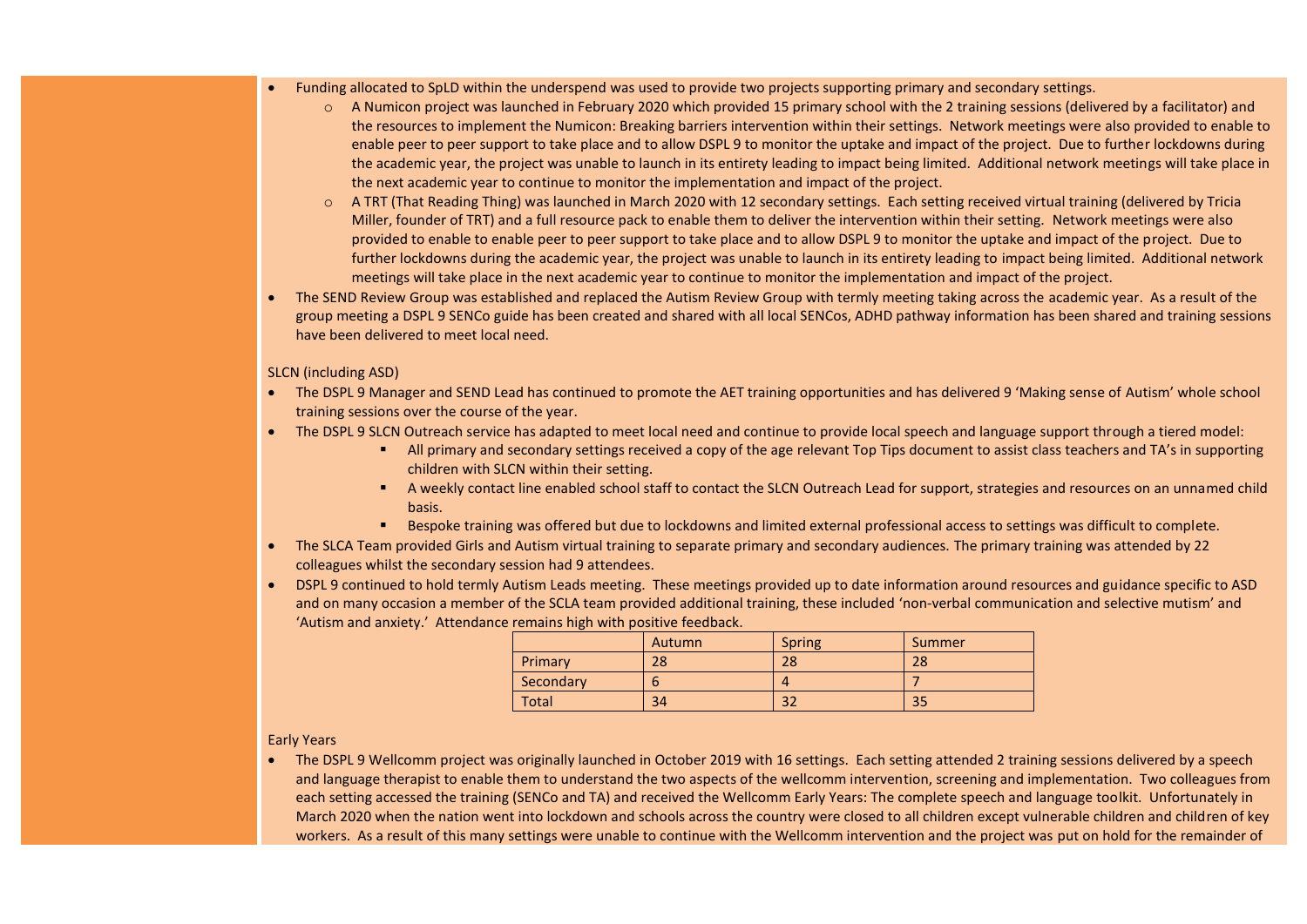- Funding allocated to SpLD within the underspend was used to provide two projects supporting primary and secondary settings.
	- o A Numicon project was launched in February 2020 which provided 15 primary school with the 2 training sessions (delivered by a facilitator) and the resources to implement the Numicon: Breaking barriers intervention within their settings. Network meetings were also provided to enable to enable peer to peer support to take place and to allow DSPL 9 to monitor the uptake and impact of the project. Due to further lockdowns during the academic year, the project was unable to launch in its entirety leading to impact being limited. Additional network meetings will take place in the next academic year to continue to monitor the implementation and impact of the project.
	- $\circ$  A TRT (That Reading Thing) was launched in March 2020 with 12 secondary settings. Each setting received virtual training (delivered by Tricia Miller, founder of TRT) and a full resource pack to enable them to deliver the intervention within their setting. Network meetings were also provided to enable to enable peer to peer support to take place and to allow DSPL 9 to monitor the uptake and impact of the project. Due to further lockdowns during the academic year, the project was unable to launch in its entirety leading to impact being limited. Additional network meetings will take place in the next academic year to continue to monitor the implementation and impact of the project.
- The SEND Review Group was established and replaced the Autism Review Group with termly meeting taking across the academic year. As a result of the group meeting a DSPL 9 SENCo guide has been created and shared with all local SENCos, ADHD pathway information has been shared and training sessions have been delivered to meet local need.

#### SLCN (including ASD)

- The DSPL 9 Manager and SEND Lead has continued to promote the AET training opportunities and has delivered 9 'Making sense of Autism' whole school training sessions over the course of the year.
- The DSPL 9 SLCN Outreach service has adapted to meet local need and continue to provide local speech and language support through a tiered model:
	- All primary and secondary settings received a copy of the age relevant Top Tips document to assist class teachers and TA's in supporting children with SLCN within their setting.
	- A weekly contact line enabled school staff to contact the SLCN Outreach Lead for support, strategies and resources on an unnamed child basis.
	- Bespoke training was offered but due to lockdowns and limited external professional access to settings was difficult to complete.
- The SLCA Team provided Girls and Autism virtual training to separate primary and secondary audiences. The primary training was attended by 22 colleagues whilst the secondary session had 9 attendees.
- DSPL 9 continued to hold termly Autism Leads meeting. These meetings provided up to date information around resources and guidance specific to ASD and on many occasion a member of the SCLA team provided additional training, these included 'non-verbal communication and selective mutism' and 'Autism and anxiety.' Attendance remains high with positive feedback.

|              | Autumn | <b>Spring</b> | Summer |
|--------------|--------|---------------|--------|
| Primary      | 28     | 28            | 28     |
| Secondary    | b      |               |        |
| <b>Total</b> | 34     | າາ<br>٥Z      | 35     |

Early Years

• The DSPL 9 Wellcomm project was originally launched in October 2019 with 16 settings. Each setting attended 2 training sessions delivered by a speech and language therapist to enable them to understand the two aspects of the wellcomm intervention, screening and implementation. Two colleagues from each setting accessed the training (SENCo and TA) and received the Wellcomm Early Years: The complete speech and language toolkit. Unfortunately in March 2020 when the nation went into lockdown and schools across the country were closed to all children except vulnerable children and children of key workers. As a result of this many settings were unable to continue with the Wellcomm intervention and the project was put on hold for the remainder of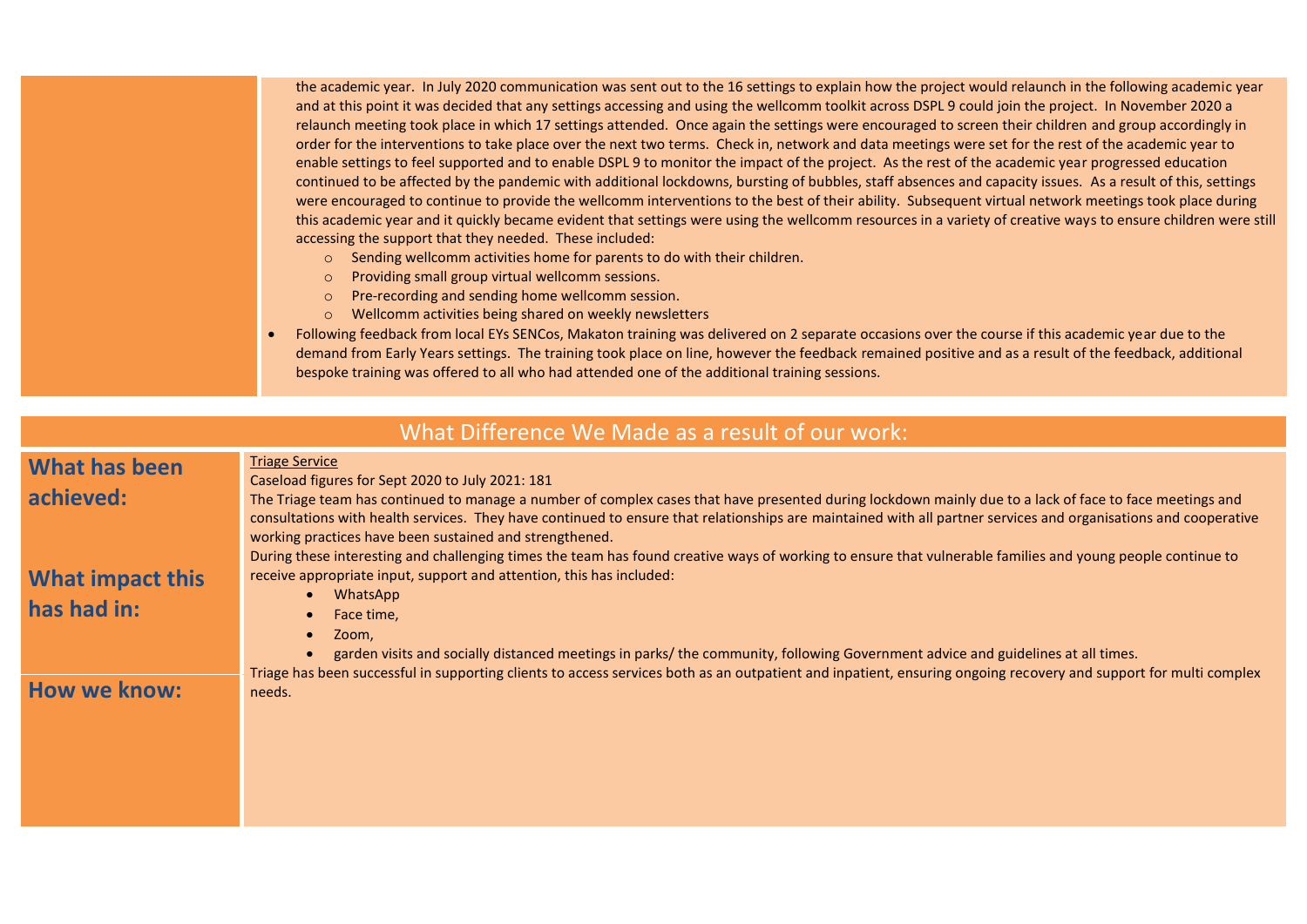the academic year. In July 2020 communication was sent out to the 16 settings to explain how the project would relaunch in the following academic year and at this point it was decided that any settings accessing and using the wellcomm toolkit across DSPL 9 could join the project. In November 2020 a relaunch meeting took place in which 17 settings attended. Once again the settings were encouraged to screen their children and group accordingly in order for the interventions to take place over the next two terms. Check in, network and data meetings were set for the rest of the academic year to enable settings to feel supported and to enable DSPL 9 to monitor the impact of the project. As the rest of the academic year progressed education continued to be affected by the pandemic with additional lockdowns, bursting of bubbles, staff absences and capacity issues. As a result of this, settings were encouraged to continue to provide the wellcomm interventions to the best of their ability. Subsequent virtual network meetings took place during this academic year and it quickly became evident that settings were using the wellcomm resources in a variety of creative ways to ensure children were still accessing the support that they needed. These included:

- o Sending wellcomm activities home for parents to do with their children.
- o Providing small group virtual wellcomm sessions.
- o Pre-recording and sending home wellcomm session.
- o Wellcomm activities being shared on weekly newsletters
- Following feedback from local EYs SENCos, Makaton training was delivered on 2 separate occasions over the course if this academic year due to the demand from Early Years settings. The training took place on line, however the feedback remained positive and as a result of the feedback, additional bespoke training was offered to all who had attended one of the additional training sessions.

## What Difference We Made as a result of our work:

# **What has been achieved:**

# **What impact this has had in:**

# **How we know:**

Caseload figures for Sept 2020 to July 2021: 181

The Triage team has continued to manage a number of complex cases that have presented during lockdown mainly due to a lack of face to face meetings and consultations with health services. They have continued to ensure that relationships are maintained with all partner services and organisations and cooperative working practices have been sustained and strengthened.

During these interesting and challenging times the team has found creative ways of working to ensure that vulnerable families and young people continue to receive appropriate input, support and attention, this has included:

WhatsApp

Triage Service

- Face time,
- Zoom.
- garden visits and socially distanced meetings in parks/ the community, following Government advice and guidelines at all times.

Triage has been successful in supporting clients to access services both as an outpatient and inpatient, ensuring ongoing recovery and support for multi complex needs.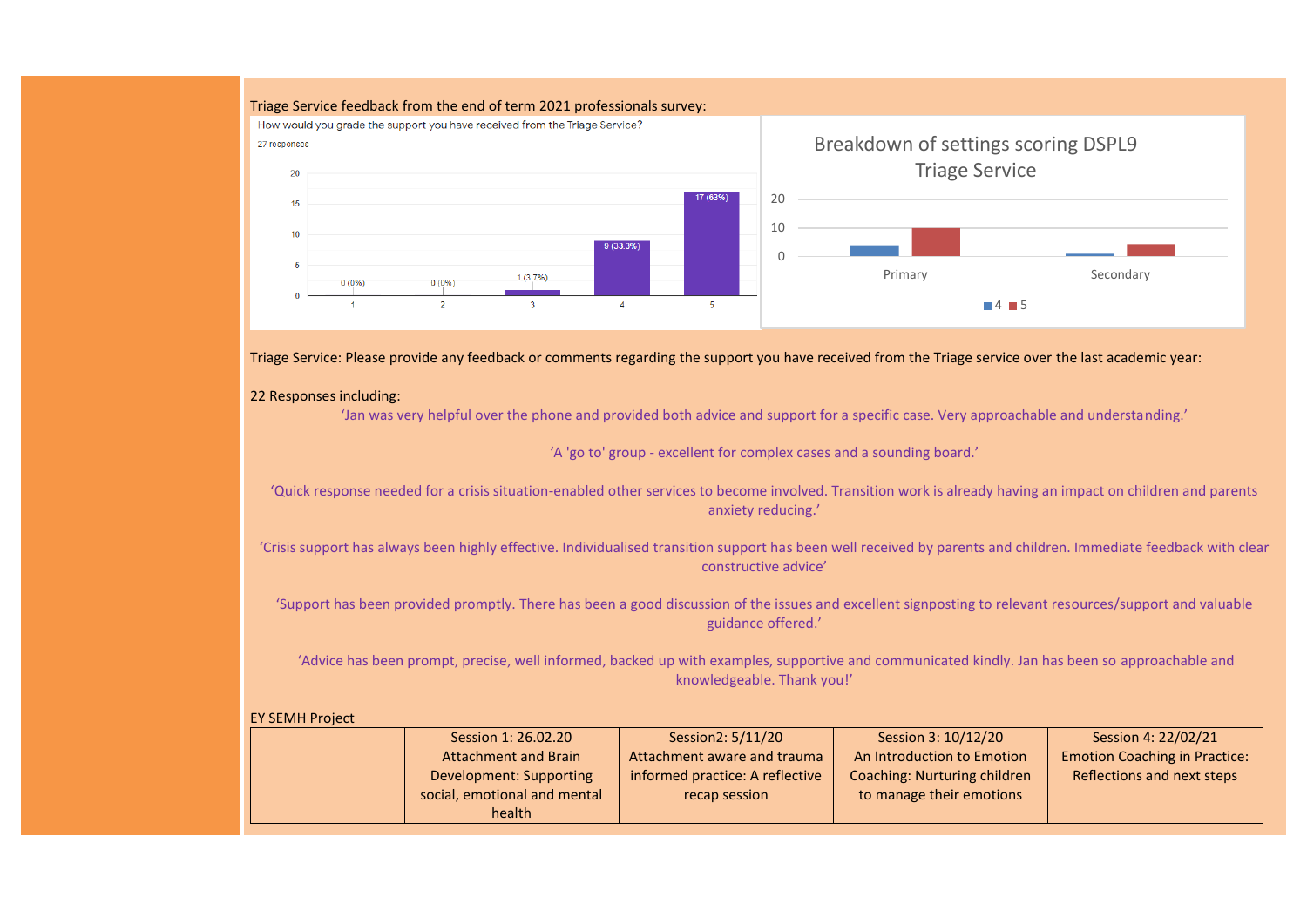#### Triage Service feedback from the end of term 2021 professionals survey:



Triage Service: Please provide any feedback or comments regarding the support you have received from the Triage service over the last academic year:

#### 22 Responses including:

'Jan was very helpful over the phone and provided both advice and support for a specific case. Very approachable and understanding.'

'A 'go to' group - excellent for complex cases and a sounding board.'

'Quick response needed for a crisis situation-enabled other services to become involved. Transition work is already having an impact on children and parents anxiety reducing.'

'Crisis support has always been highly effective. Individualised transition support has been well received by parents and children. Immediate feedback with clear constructive advice'

'Support has been provided promptly. There has been a good discussion of the issues and excellent signposting to relevant resources/support and valuable guidance offered.'

'Advice has been prompt, precise, well informed, backed up with examples, supportive and communicated kindly. Jan has been so approachable and knowledgeable. Thank you!'

#### EY SEMH Project

|  | Session 1: 26.02.20          | Session2: 5/11/20               | Session 3: 10/12/20          | Session 4: 22/02/21                  |
|--|------------------------------|---------------------------------|------------------------------|--------------------------------------|
|  | <b>Attachment and Brain</b>  | Attachment aware and trauma     | An Introduction to Emotion   | <b>Emotion Coaching in Practice:</b> |
|  | Development: Supporting      | informed practice: A reflective | Coaching: Nurturing children | Reflections and next steps           |
|  | social, emotional and mental | recap session                   | to manage their emotions     |                                      |
|  | health                       |                                 |                              |                                      |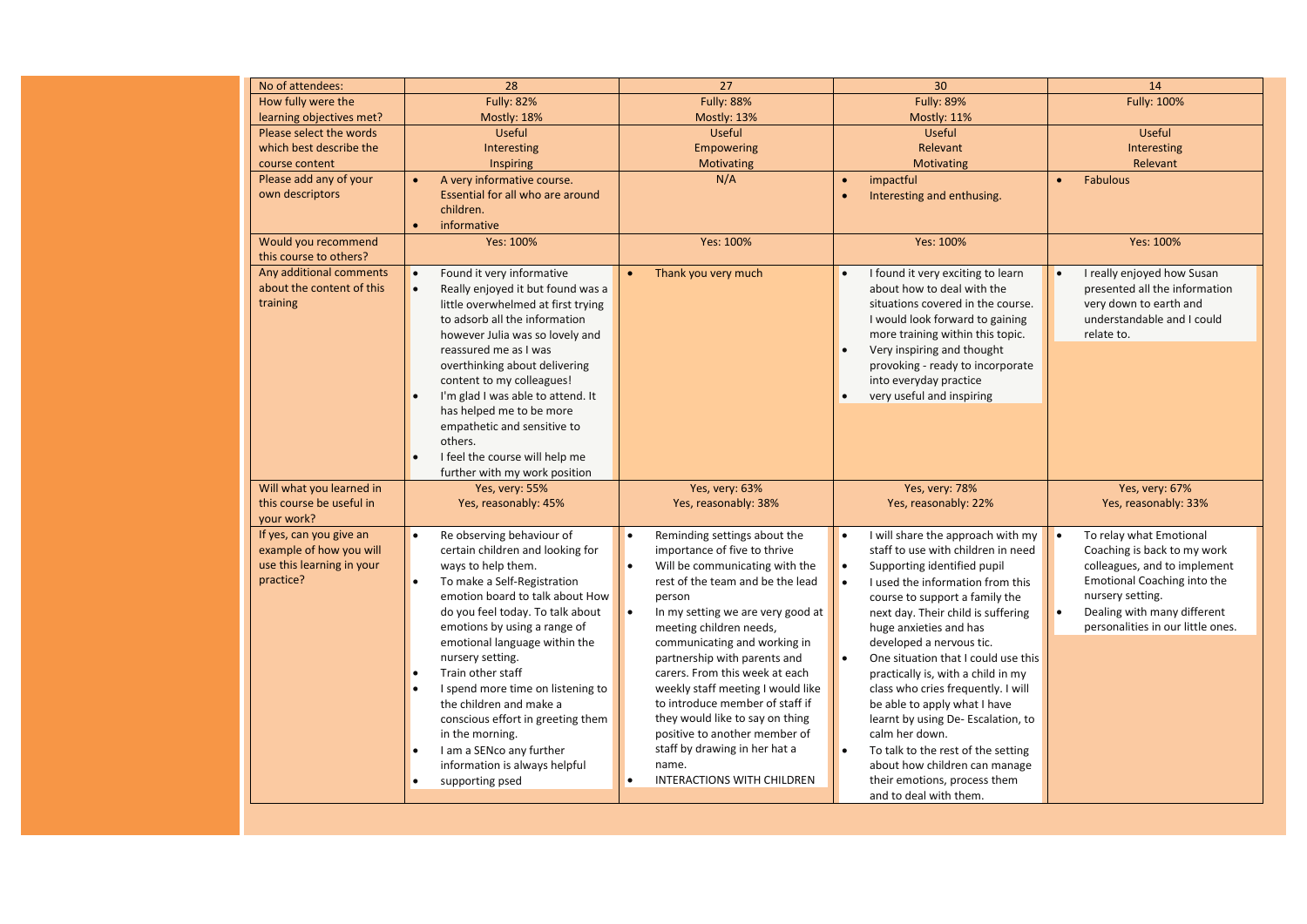| No of attendees:                       | 28                                 | 27                                             | 30                                             | 14                                      |
|----------------------------------------|------------------------------------|------------------------------------------------|------------------------------------------------|-----------------------------------------|
| How fully were the                     | <b>Fully: 82%</b>                  | <b>Fully: 88%</b>                              | <b>Fully: 89%</b>                              | Fully: 100%                             |
| learning objectives met?               | Mostly: 18%                        | Mostly: 13%                                    | Mostly: 11%                                    |                                         |
| Please select the words                | Useful                             | <b>Useful</b>                                  | <b>Useful</b>                                  | <b>Useful</b>                           |
| which best describe the                | Interesting                        | <b>Empowering</b>                              | Relevant                                       | Interesting                             |
| course content                         | Inspiring                          | Motivating                                     | Motivating                                     | Relevant                                |
| Please add any of your                 | A very informative course.         | N/A                                            | impactful<br>$\bullet$                         | <b>Fabulous</b><br>$\bullet$            |
| own descriptors                        | Essential for all who are around   |                                                | Interesting and enthusing.<br>$\bullet$        |                                         |
|                                        | children.                          |                                                |                                                |                                         |
| $\bullet$                              | informative                        |                                                |                                                |                                         |
| Would you recommend                    | Yes: 100%                          | Yes: 100%                                      | Yes: 100%                                      | Yes: 100%                               |
| this course to others?                 |                                    |                                                |                                                |                                         |
| Any additional comments<br>$\bullet$   | Found it very informative          | Thank you very much                            | I found it very exciting to learn<br>$\bullet$ | I really enjoyed how Susan<br>$\bullet$ |
| about the content of this<br>$\bullet$ | Really enjoyed it but found was a  |                                                | about how to deal with the                     | presented all the information           |
| training                               | little overwhelmed at first trying |                                                | situations covered in the course.              | very down to earth and                  |
|                                        | to adsorb all the information      |                                                | I would look forward to gaining                | understandable and I could              |
|                                        | however Julia was so lovely and    |                                                | more training within this topic.               | relate to.                              |
|                                        | reassured me as I was              |                                                | Very inspiring and thought                     |                                         |
|                                        | overthinking about delivering      |                                                | provoking - ready to incorporate               |                                         |
|                                        | content to my colleagues!          |                                                | into everyday practice                         |                                         |
|                                        | I'm glad I was able to attend. It  |                                                | very useful and inspiring<br>$\bullet$         |                                         |
|                                        | has helped me to be more           |                                                |                                                |                                         |
|                                        | empathetic and sensitive to        |                                                |                                                |                                         |
|                                        | others.                            |                                                |                                                |                                         |
|                                        | I feel the course will help me     |                                                |                                                |                                         |
|                                        | further with my work position      |                                                |                                                |                                         |
| Will what you learned in               | Yes, very: 55%                     | Yes, very: 63%                                 | Yes, very: 78%                                 | Yes, very: 67%                          |
| this course be useful in               | Yes, reasonably: 45%               | Yes, reasonably: 38%                           | Yes, reasonably: 22%                           | Yes, reasonably: 33%                    |
| your work?                             |                                    |                                                |                                                |                                         |
| If yes, can you give an<br>$\bullet$   | Re observing behaviour of          | Reminding settings about the<br>$\bullet$      | I will share the approach with my<br><b>l</b>  | To relay what Emotional<br>$\bullet$    |
| example of how you will                | certain children and looking for   | importance of five to thrive                   | staff to use with children in need             | Coaching is back to my work             |
| use this learning in your              | ways to help them.                 | Will be communicating with the<br>$\bullet$    | Supporting identified pupil<br><b>l</b>        | colleagues, and to implement            |
| practice?<br>$\bullet$                 | To make a Self-Registration        | rest of the team and be the lead               | l.<br>I used the information from this         | Emotional Coaching into the             |
|                                        | emotion board to talk about How    | person                                         | course to support a family the                 | nursery setting.                        |
|                                        | do you feel today. To talk about   | In my setting we are very good at<br>$\bullet$ | next day. Their child is suffering             | Dealing with many different             |
|                                        | emotions by using a range of       | meeting children needs,                        | huge anxieties and has                         | personalities in our little ones.       |
|                                        | emotional language within the      | communicating and working in                   | developed a nervous tic.                       |                                         |
|                                        | nursery setting.                   | partnership with parents and                   | One situation that I could use this            |                                         |
|                                        | Train other staff                  | carers. From this week at each                 | practically is, with a child in my             |                                         |
| $\bullet$                              | I spend more time on listening to  | weekly staff meeting I would like              | class who cries frequently. I will             |                                         |
|                                        | the children and make a            | to introduce member of staff if                | be able to apply what I have                   |                                         |
|                                        | conscious effort in greeting them  | they would like to say on thing                | learnt by using De- Escalation, to             |                                         |
|                                        | in the morning.                    | positive to another member of                  | calm her down.                                 |                                         |
|                                        | I am a SENco any further           | staff by drawing in her hat a                  | To talk to the rest of the setting<br>١.       |                                         |
|                                        | information is always helpful      | name.                                          | about how children can manage                  |                                         |
|                                        |                                    |                                                |                                                |                                         |
|                                        | supporting psed                    | <b>INTERACTIONS WITH CHILDREN</b>              | their emotions, process them                   |                                         |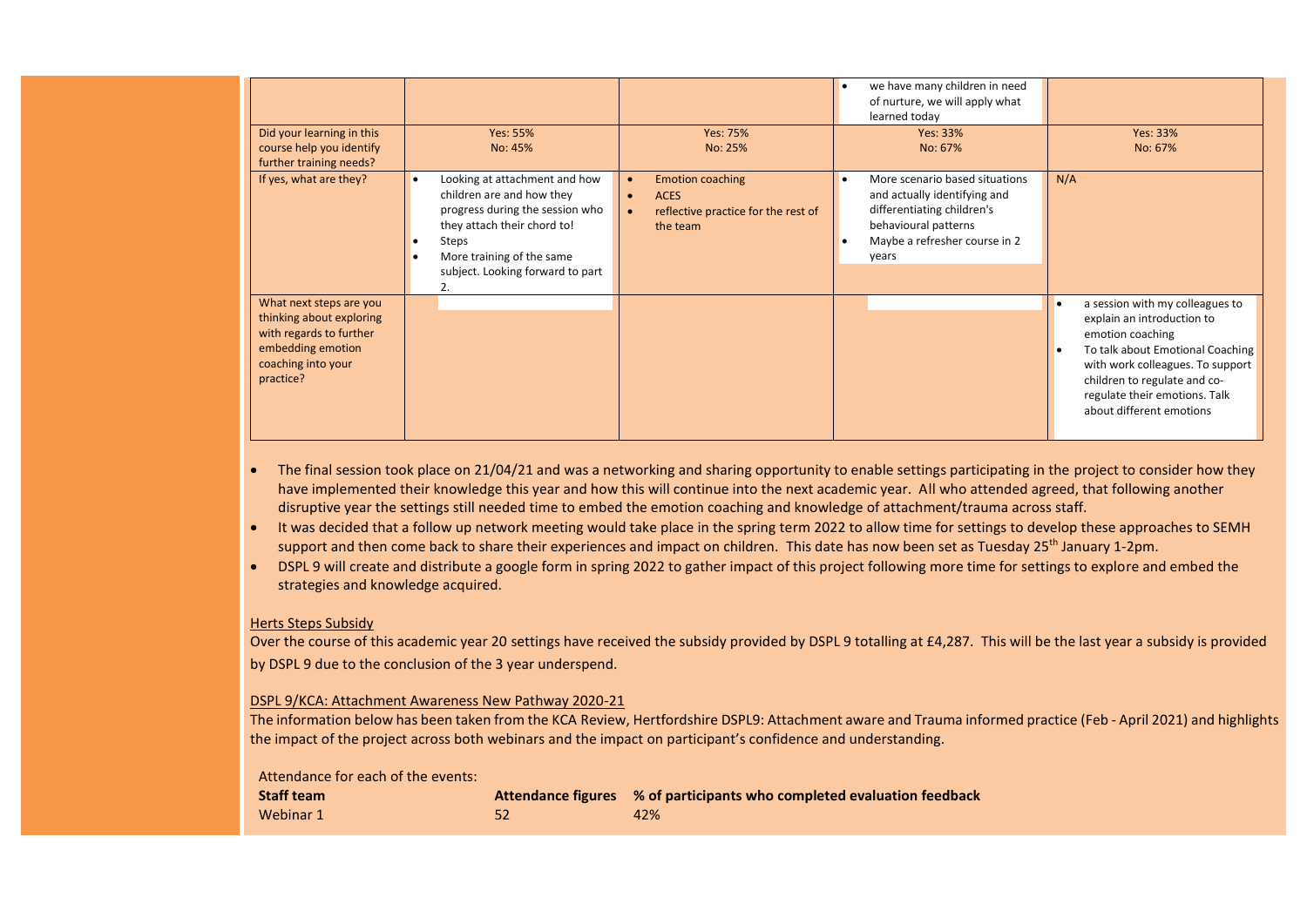| Did your learning in this<br>course help you identify<br>further training needs?                                                       | Yes: 55%<br>No: 45%                                                                                                                                                                                                 | Yes: 75%<br>No: 25%                                                                                                              | we have many children in need<br>of nurture, we will apply what<br>learned today<br>Yes: 33%<br>No: 67%                                                        | Yes: 33%<br>No: 67%                                                                                                                                                                                                                                    |
|----------------------------------------------------------------------------------------------------------------------------------------|---------------------------------------------------------------------------------------------------------------------------------------------------------------------------------------------------------------------|----------------------------------------------------------------------------------------------------------------------------------|----------------------------------------------------------------------------------------------------------------------------------------------------------------|--------------------------------------------------------------------------------------------------------------------------------------------------------------------------------------------------------------------------------------------------------|
| If yes, what are they?                                                                                                                 | Looking at attachment and how<br>$\bullet$<br>children are and how they<br>progress during the session who<br>they attach their chord to!<br>Steps<br>More training of the same<br>subject. Looking forward to part | <b>Emotion coaching</b><br>$\bullet$<br><b>ACES</b><br>$\bullet$<br>reflective practice for the rest of<br>$\bullet$<br>the team | More scenario based situations<br>and actually identifying and<br>differentiating children's<br>behavioural patterns<br>Maybe a refresher course in 2<br>years | N/A                                                                                                                                                                                                                                                    |
| What next steps are you<br>thinking about exploring<br>with regards to further<br>embedding emotion<br>coaching into your<br>practice? |                                                                                                                                                                                                                     |                                                                                                                                  |                                                                                                                                                                | a session with my colleagues to<br>explain an introduction to<br>emotion coaching<br>To talk about Emotional Coaching<br>with work colleagues. To support<br>children to regulate and co-<br>regulate their emotions. Talk<br>about different emotions |

- The final session took place on 21/04/21 and was a networking and sharing opportunity to enable settings participating in the project to consider how they have implemented their knowledge this year and how this will continue into the next academic year. All who attended agreed, that following another disruptive year the settings still needed time to embed the emotion coaching and knowledge of attachment/trauma across staff.
- It was decided that a follow up network meeting would take place in the spring term 2022 to allow time for settings to develop these approaches to SEMH support and then come back to share their experiences and impact on children. This date has now been set as Tuesday 25<sup>th</sup> January 1-2pm.
- DSPL 9 will create and distribute a google form in spring 2022 to gather impact of this project following more time for settings to explore and embed the strategies and knowledge acquired.

#### Herts Steps Subsidy

Over the course of this academic year 20 settings have received the subsidy provided by DSPL 9 totalling at £4,287. This will be the last year a subsidy is provided by DSPL 9 due to the conclusion of the 3 year underspend.

#### DSPL 9/KCA: Attachment Awareness New Pathway 2020-21

The information below has been taken from the KCA Review, Hertfordshire DSPL9: Attachment aware and Trauma informed practice (Feb - April 2021) and highlights the impact of the project across both webinars and the impact on participant's confidence and understanding.

#### Attendance for each of the events:

| <b>Staff team</b> | Attendance figures % of participants who completed evaluation feedback |
|-------------------|------------------------------------------------------------------------|
| Webinar 1         | 42%                                                                    |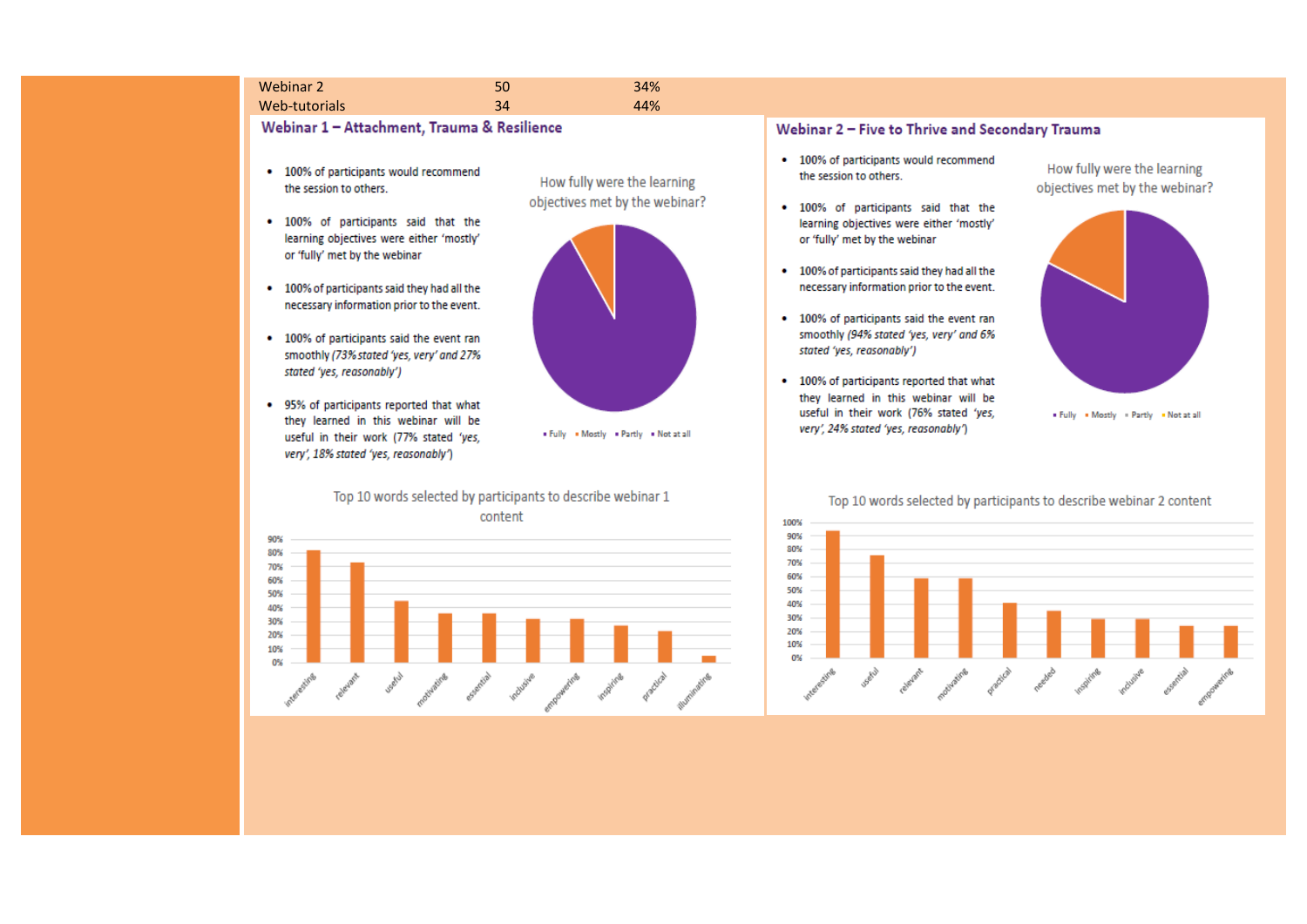#### Webinar 2  $\sim$  50  $\sim$  34% Web-tutorials -tutorials **34** 44%

Webinar 1 - Attachment, Trauma & Resilience

- 100% of participants would recommend the session to others.
- . 100% of participants said that the learning objectives were either 'mostly' or 'fully' met by the webinar
- . 100% of participants said they had all the necessary information prior to the event.
- 100% of participants said the event ran smoothly (73% stated 'yes, very' and 27% stated 'yes, reasonably')
- . 95% of participants reported that what they learned in this webinar will be useful in their work (77% stated 'yes, very', 18% stated 'yes, reasonably')





. Fully . Mostly . Partly . Not at all

Top 10 words selected by participants to describe webinar 1 content



#### Webinar 2 - Five to Thrive and Secondary Trauma

- 100% of participants would recommend the session to others.
- . 100% of participants said that the learning objectives were either 'mostly' or 'fully' met by the webinar
- . 100% of participants said they had all the necessary information prior to the event.
- 100% of participants said the event ran smoothly (94% stated 'yes, very' and 6% stated 'yes, reasonably')
- 100% of participants reported that what they learned in this webinar will be useful in their work (76% stated 'yes, very', 24% stated 'yes, reasonably')

How fully were the learning objectives met by the webinar?



. Fully . Mostly . Partly . Not at all

#### Top 10 words selected by participants to describe webinar 2 content

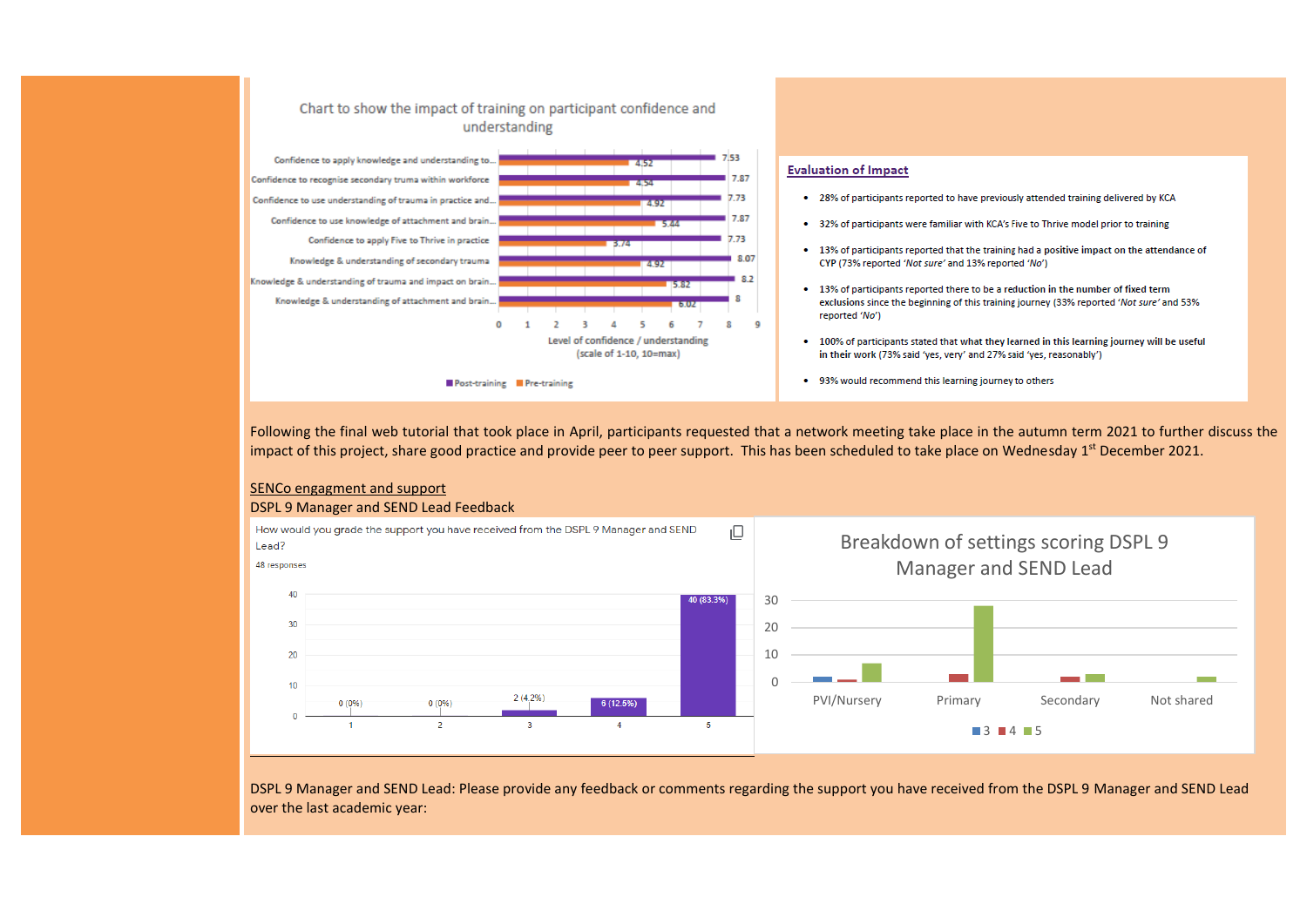#### Chart to show the impact of training on participant confidence and understanding



#### **Evaluation of Impact**

- . 28% of participants reported to have previously attended training delivered by KCA
- 32% of participants were familiar with KCA's Five to Thrive model prior to training
- 13% of participants reported that the training had a positive impact on the attendance of CYP (73% reported 'Not sure' and 13% reported 'No')
- 13% of participants reported there to be a reduction in the number of fixed term exclusions since the beginning of this training journey (33% reported 'Not sure' and 53% reported 'No')
- . 100% of participants stated that what they learned in this learning journey will be useful in their work (73% said 'ves, very' and 27% said 'ves, reasonably')
- 93% would recommend this learning journey to others

Following the final web tutorial that took place in April, participants requested that a network meeting take place in the autumn term 2021 to further discuss the impact of this project, share good practice and provide peer to peer support. This has been scheduled to take place on Wednesday  $1^{st}$  December 2021.



### SENCo engagment and support

### DSPL 9 Manager and SEND Lead Feedback

DSPL 9 Manager and SEND Lead: Please provide any feedback or comments regarding the support you have received from the DSPL 9 Manager and SEND Lead over the last academic year: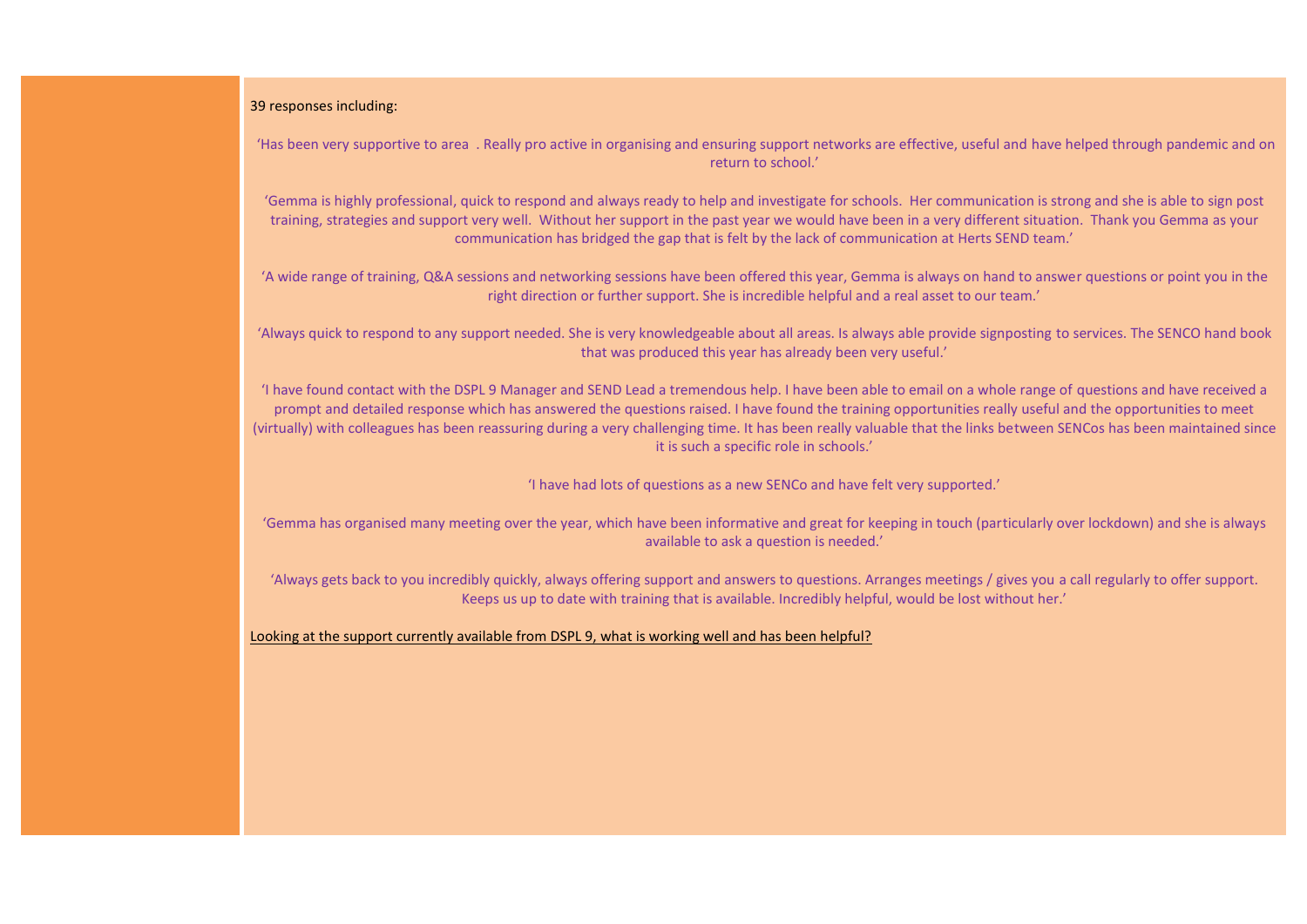#### 39 responses including:

'Has been very supportive to area . Really pro active in organising and ensuring support networks are effective, useful and have helped through pandemic and on return to school.'

'Gemma is highly professional, quick to respond and always ready to help and investigate for schools. Her communication is strong and she is able to sign post training, strategies and support very well. Without her support in the past year we would have been in a very different situation. Thank you Gemma as your communication has bridged the gap that is felt by the lack of communication at Herts SEND team.'

'A wide range of training, Q&A sessions and networking sessions have been offered this year, Gemma is always on hand to answer questions or point you in the right direction or further support. She is incredible helpful and a real asset to our team.'

'Always quick to respond to any support needed. She is very knowledgeable about all areas. Is always able provide signposting to services. The SENCO hand book that was produced this year has already been very useful.'

'I have found contact with the DSPL 9 Manager and SEND Lead a tremendous help. I have been able to email on a whole range of questions and have received a prompt and detailed response which has answered the questions raised. I have found the training opportunities really useful and the opportunities to meet (virtually) with colleagues has been reassuring during a very challenging time. It has been really valuable that the links between SENCos has been maintained since it is such a specific role in schools.'

'I have had lots of questions as a new SENCo and have felt very supported.'

'Gemma has organised many meeting over the year, which have been informative and great for keeping in touch (particularly over lockdown) and she is always available to ask a question is needed.'

'Always gets back to you incredibly quickly, always offering support and answers to questions. Arranges meetings / gives you a call regularly to offer support. Keeps us up to date with training that is available. Incredibly helpful, would be lost without her.'

Looking at the support currently available from DSPL 9, what is working well and has been helpful?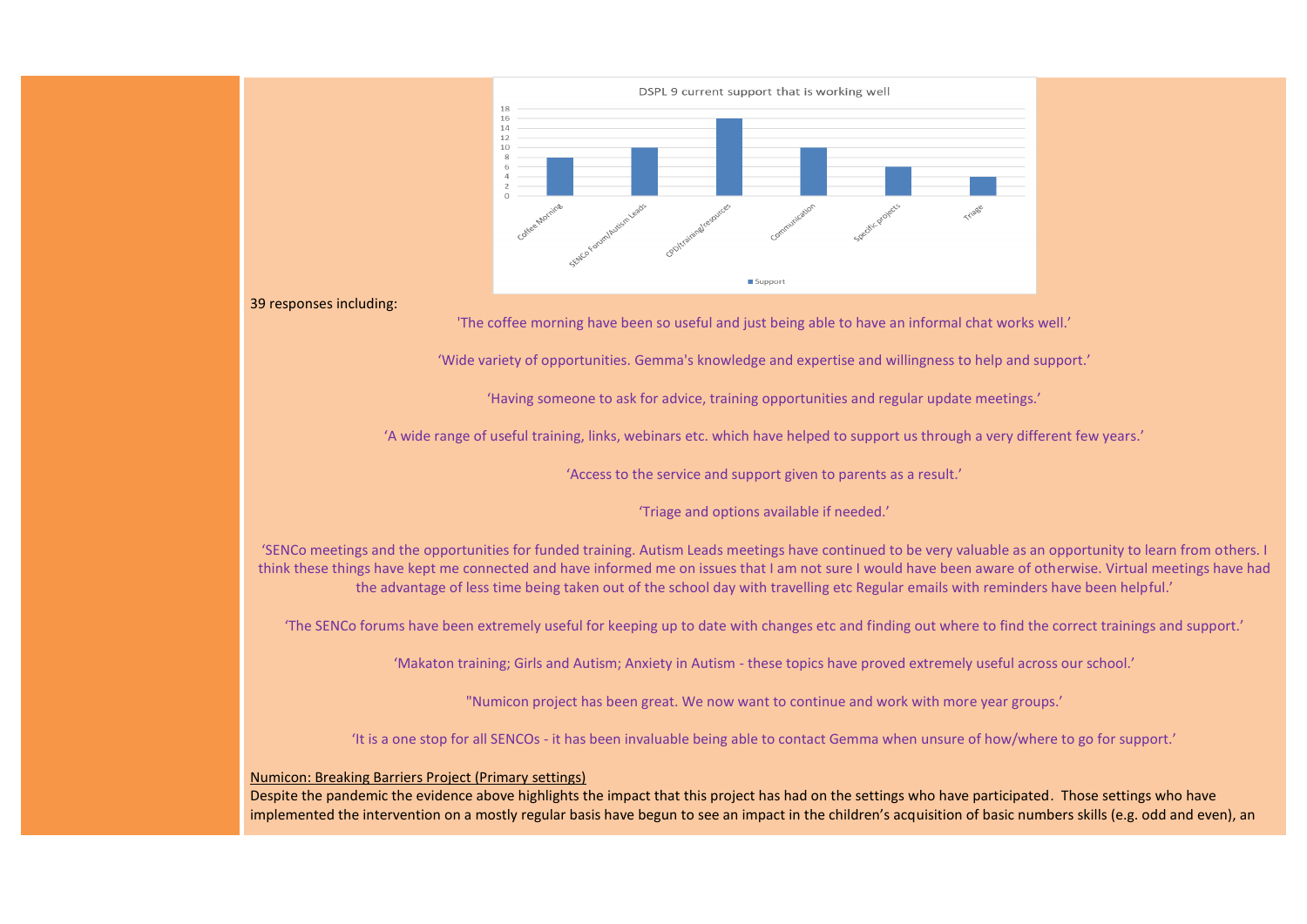

#### 39 responses including:

'The coffee morning have been so useful and just being able to have an informal chat works well.'

'Wide variety of opportunities. Gemma's knowledge and expertise and willingness to help and support.'

'Having someone to ask for advice, training opportunities and regular update meetings.'

'A wide range of useful training, links, webinars etc. which have helped to support us through a very different few years.'

'Access to the service and support given to parents as a result.'

'Triage and options available if needed.'

'SENCo meetings and the opportunities for funded training. Autism Leads meetings have continued to be very valuable as an opportunity to learn from others. I think these things have kept me connected and have informed me on issues that I am not sure I would have been aware of otherwise. Virtual meetings have had the advantage of less time being taken out of the school day with travelling etc Regular emails with reminders have been helpful.'

'The SENCo forums have been extremely useful for keeping up to date with changes etc and finding out where to find the correct trainings and support.'

'Makaton training; Girls and Autism; Anxiety in Autism - these topics have proved extremely useful across our school.'

"Numicon project has been great. We now want to continue and work with more year groups.'

'It is a one stop for all SENCOs - it has been invaluable being able to contact Gemma when unsure of how/where to go for support.'

#### Numicon: Breaking Barriers Project (Primary settings)

Despite the pandemic the evidence above highlights the impact that this project has had on the settings who have participated. Those settings who have implemented the intervention on a mostly regular basis have begun to see an impact in the children's acquisition of basic numbers skills (e.g. odd and even), an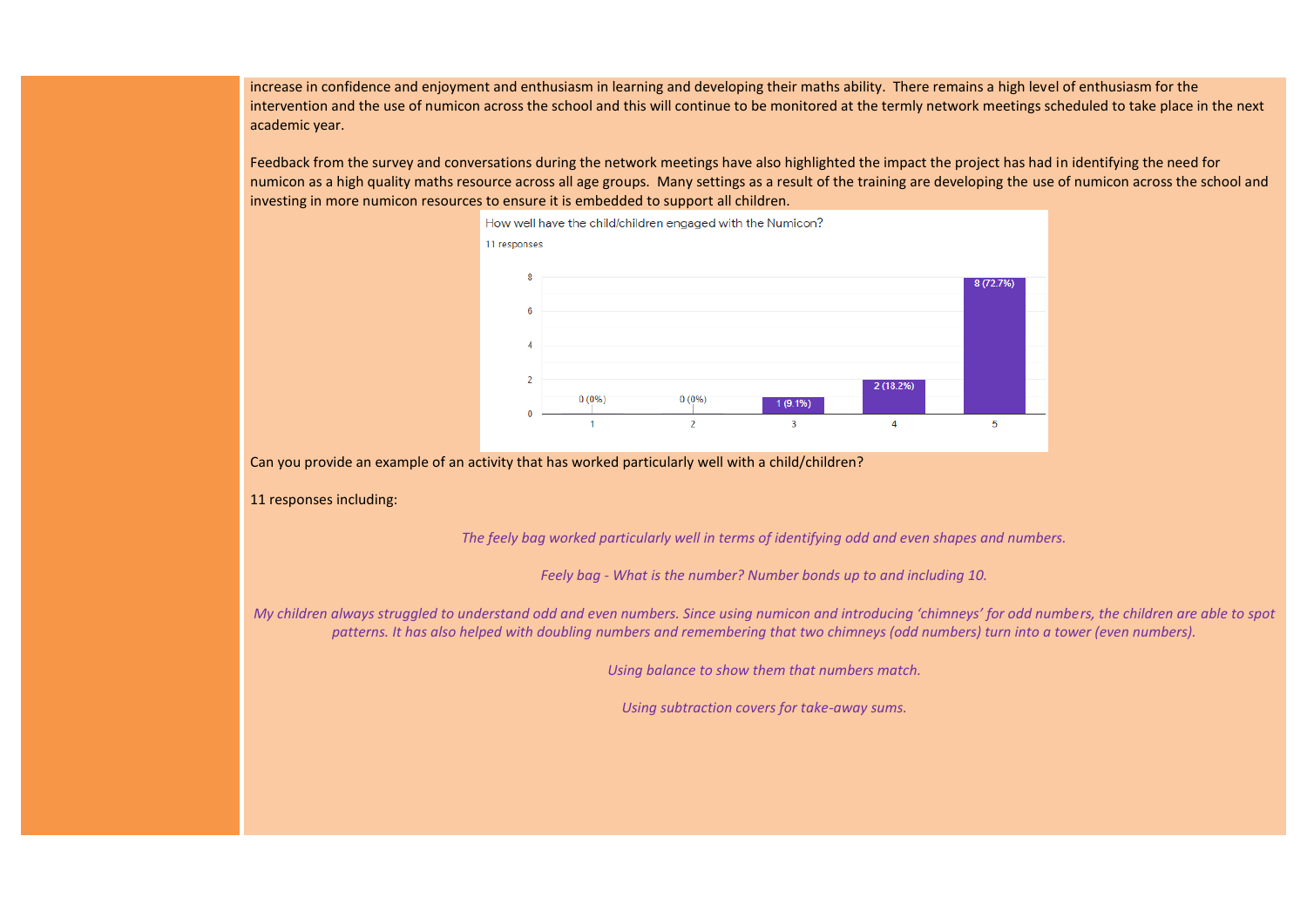increase in confidence and enjoyment and enthusiasm in learning and developing their maths ability. There remains a high level of enthusiasm for the intervention and the use of numicon across the school and this will continue to be monitored at the termly network meetings scheduled to take place in the next academic year.

Feedback from the survey and conversations during the network meetings have also highlighted the impact the project has had in identifying the need for numicon as a high quality maths resource across all age groups. Many settings as a result of the training are developing the use of numicon across the school and investing in more numicon resources to ensure it is embedded to support all children.



Can you provide an example of an activity that has worked particularly well with a child/children?

11 responses including:

*The feely bag worked particularly well in terms of identifying odd and even shapes and numbers.*

*Feely bag - What is the number? Number bonds up to and including 10.*

*My children always struggled to understand odd and even numbers. Since using numicon and introducing 'chimneys' for odd numbers, the children are able to spot patterns. It has also helped with doubling numbers and remembering that two chimneys (odd numbers) turn into a tower (even numbers).*

*Using balance to show them that numbers match.*

*Using subtraction covers for take-away sums.*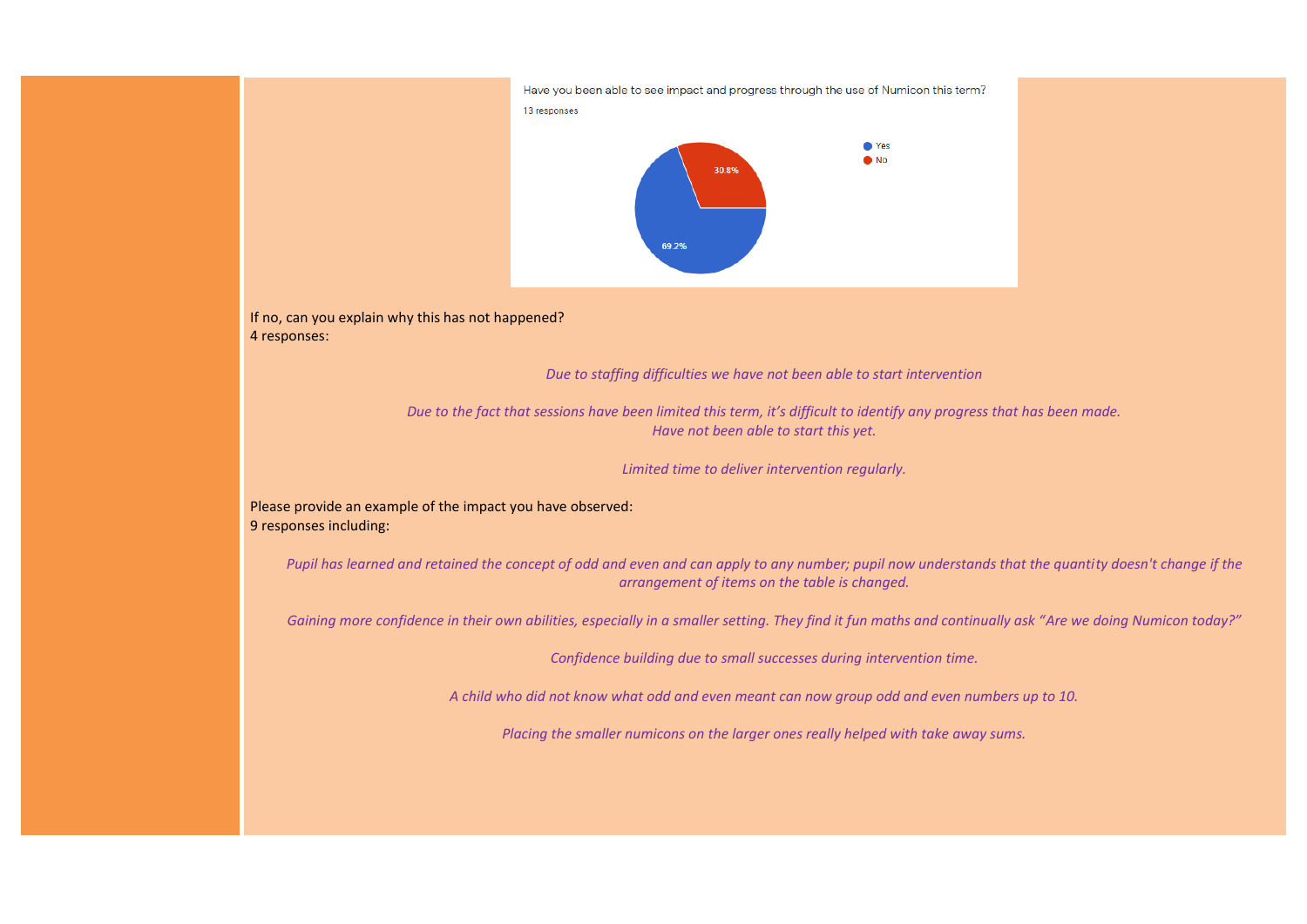

If no, can you explain why this has not happened? 4 responses:

*Due to staffing difficulties we have not been able to start intervention*

*Due to the fact that sessions have been limited this term, it's difficult to identify any progress that has been made. Have not been able to start this yet.*

*Limited time to deliver intervention regularly.*

Please provide an example of the impact you have observed: 9 responses including:

*Pupil has learned and retained the concept of odd and even and can apply to any number; pupil now understands that the quantity doesn't change if the arrangement of items on the table is changed.*

*Gaining more confidence in their own abilities, especially in a smaller setting. They find it fun maths and continually ask "Are we doing Numicon today?"*

*Confidence building due to small successes during intervention time.*

*A child who did not know what odd and even meant can now group odd and even numbers up to 10.*

*Placing the smaller numicons on the larger ones really helped with take away sums.*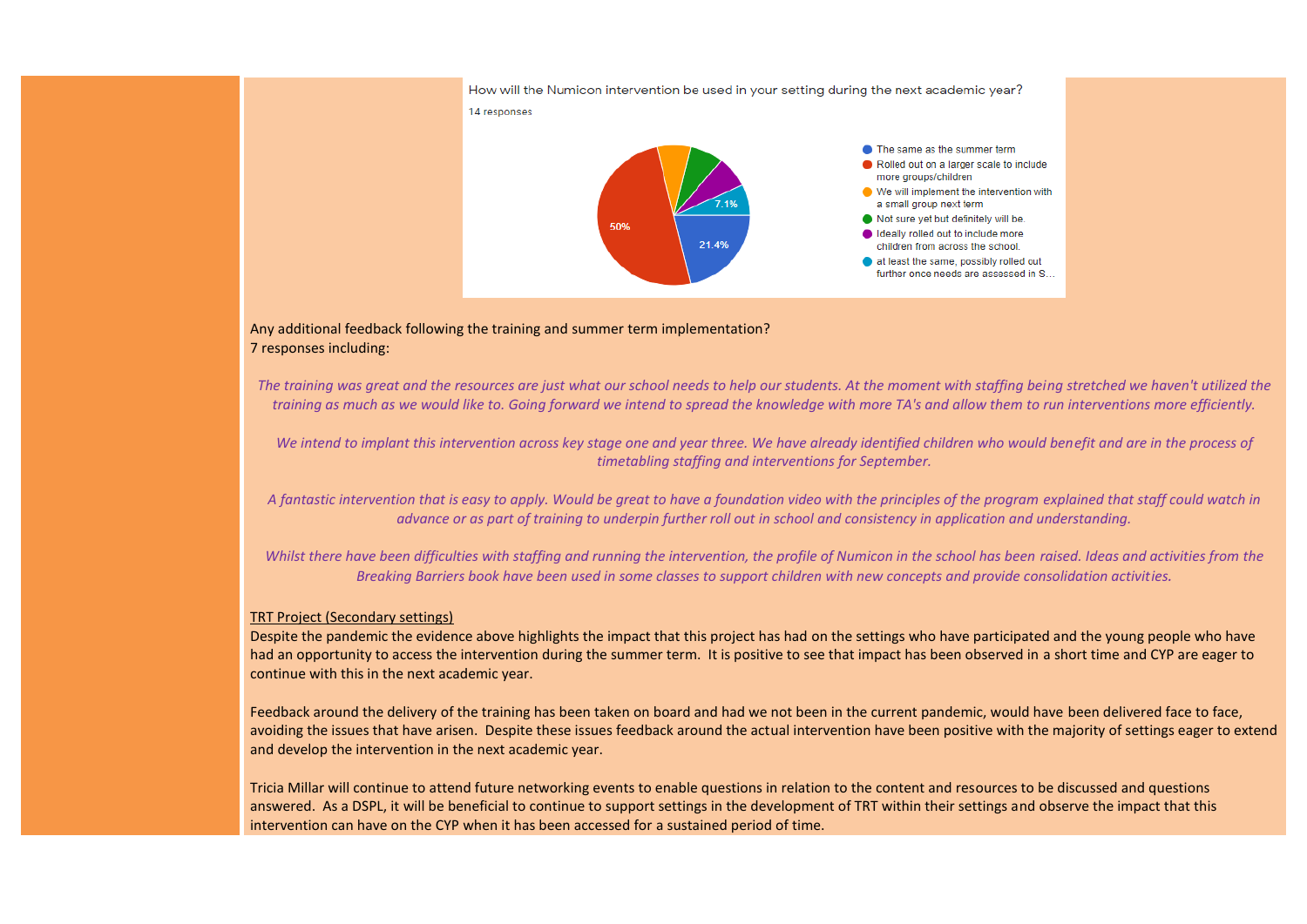

Any additional feedback following the training and summer term implementation? 7 responses including:

*The training was great and the resources are just what our school needs to help our students. At the moment with staffing being stretched we haven't utilized the training as much as we would like to. Going forward we intend to spread the knowledge with more TA's and allow them to run interventions more efficiently.*

*We intend to implant this intervention across key stage one and year three. We have already identified children who would benefit and are in the process of timetabling staffing and interventions for September.*

*A fantastic intervention that is easy to apply. Would be great to have a foundation video with the principles of the program explained that staff could watch in advance or as part of training to underpin further roll out in school and consistency in application and understanding.*

*Whilst there have been difficulties with staffing and running the intervention, the profile of Numicon in the school has been raised. Ideas and activities from the Breaking Barriers book have been used in some classes to support children with new concepts and provide consolidation activities.*

#### TRT Project (Secondary settings)

Despite the pandemic the evidence above highlights the impact that this project has had on the settings who have participated and the young people who have had an opportunity to access the intervention during the summer term. It is positive to see that impact has been observed in a short time and CYP are eager to continue with this in the next academic year.

Feedback around the delivery of the training has been taken on board and had we not been in the current pandemic, would have been delivered face to face, avoiding the issues that have arisen. Despite these issues feedback around the actual intervention have been positive with the majority of settings eager to extend and develop the intervention in the next academic year.

Tricia Millar will continue to attend future networking events to enable questions in relation to the content and resources to be discussed and questions answered. As a DSPL, it will be beneficial to continue to support settings in the development of TRT within their settings and observe the impact that this intervention can have on the CYP when it has been accessed for a sustained period of time.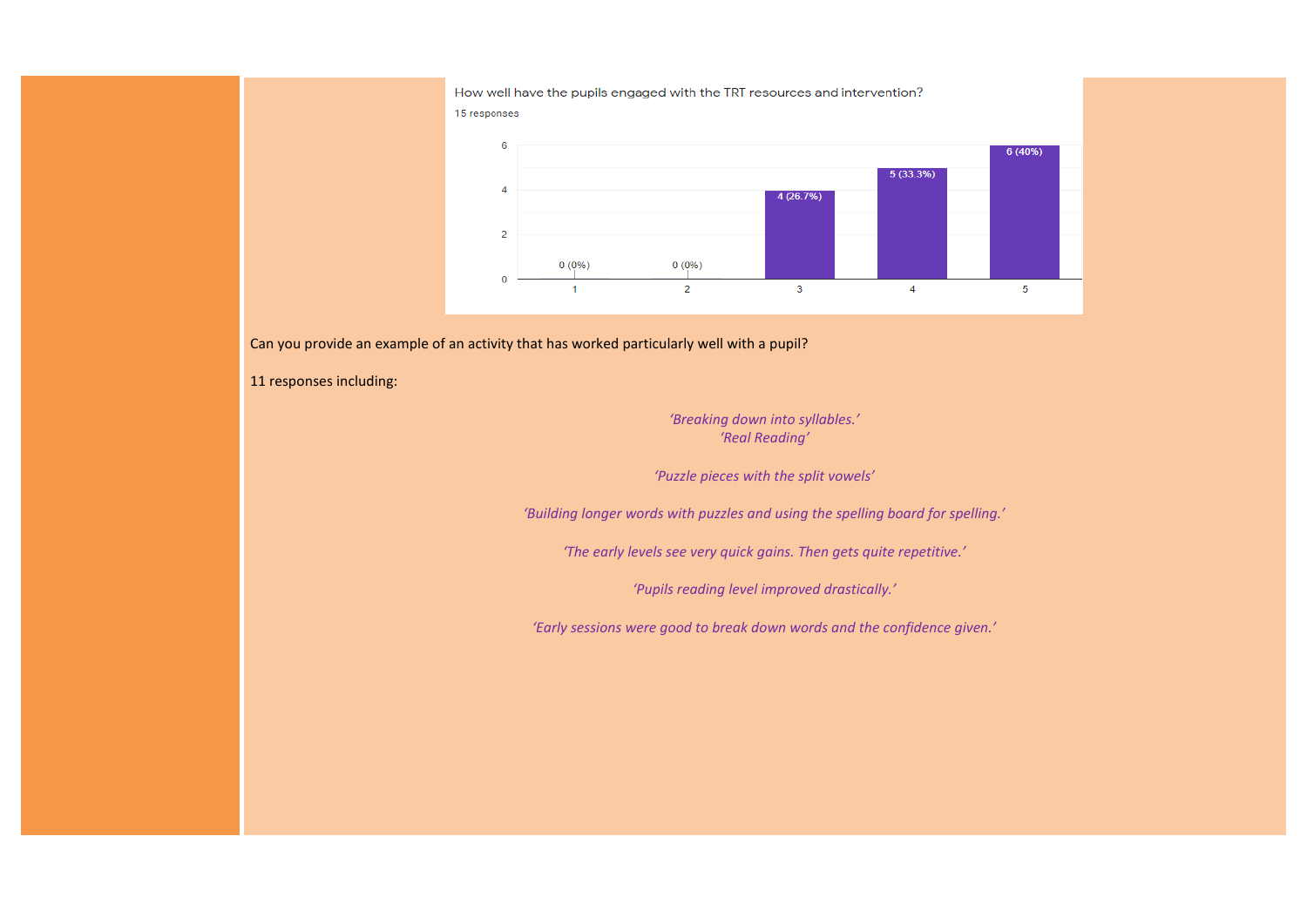How well have the pupils engaged with the TRT resources and intervention? 15 responses



Can you provide an example of an activity that has worked particularly well with a pupil?

11 responses including:

*'Breaking down into syllables.' 'Real Reading'*

*'Puzzle pieces with the split vowels'*

*'Building longer words with puzzles and using the spelling board for spelling.'*

*'The early levels see very quick gains. Then gets quite repetitive.'*

*'Pupils reading level improved drastically.'*

*'Early sessions were good to break down words and the confidence given.'*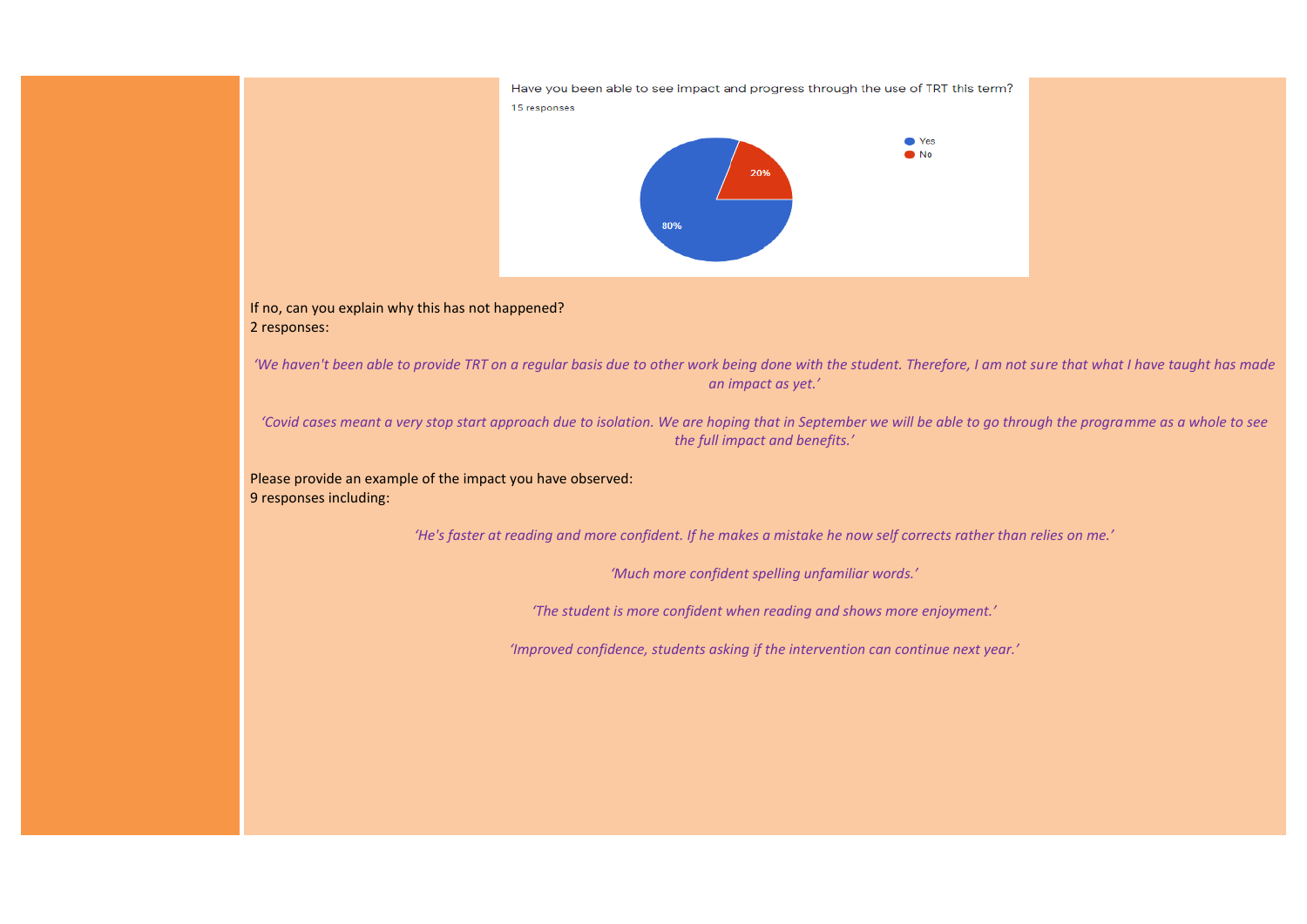

#### If no, can you explain why this has not happened? 2 responses:

*'We haven't been able to provide TRT on a regular basis due to other work being done with the student. Therefore, I am not sure that what I have taught has made an impact as yet.'*

*'Covid cases meant a very stop start approach due to isolation. We are hoping that in September we will be able to go through the programme as a whole to see the full impact and benefits.'*

Please provide an example of the impact you have observed: 9 responses including:

*'He's faster at reading and more confident. If he makes a mistake he now self corrects rather than relies on me.'*

*'Much more confident spelling unfamiliar words.'*

*'The student is more confident when reading and shows more enjoyment.'*

*'Improved confidence, students asking if the intervention can continue next year.'*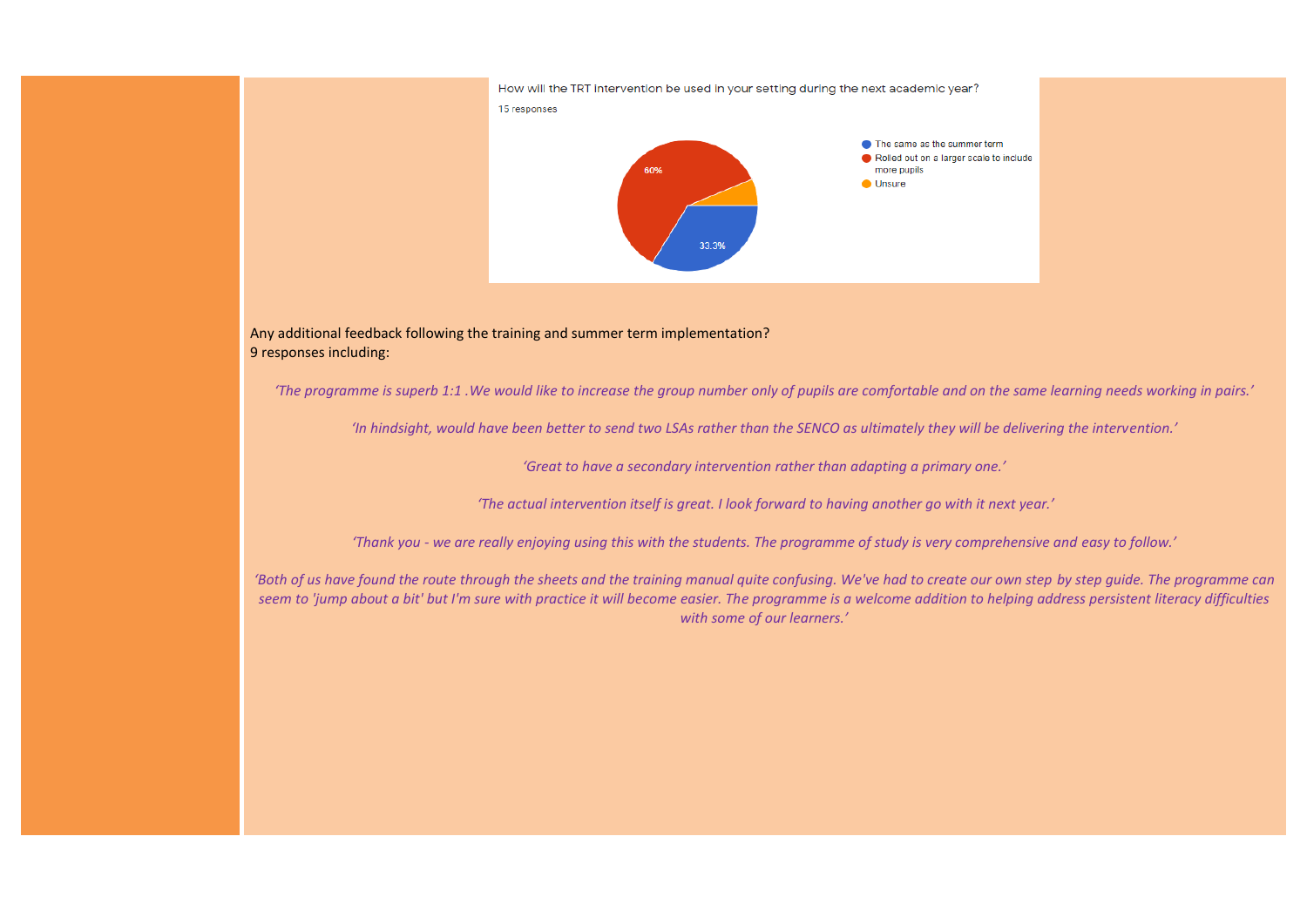

Any additional feedback following the training and summer term implementation? 9 responses including:

*'The programme is superb 1:1 .We would like to increase the group number only of pupils are comfortable and on the same learning needs working in pairs.'*

*'In hindsight, would have been better to send two LSAs rather than the SENCO as ultimately they will be delivering the intervention.'*

*'Great to have a secondary intervention rather than adapting a primary one.'*

*'The actual intervention itself is great. I look forward to having another go with it next year.'*

*'Thank you - we are really enjoying using this with the students. The programme of study is very comprehensive and easy to follow.'*

*'Both of us have found the route through the sheets and the training manual quite confusing. We've had to create our own step by step quide. The programme can seem to 'jump about a bit' but I'm sure with practice it will become easier. The programme is a welcome addition to helping address persistent literacy difficulties with some of our learners.'*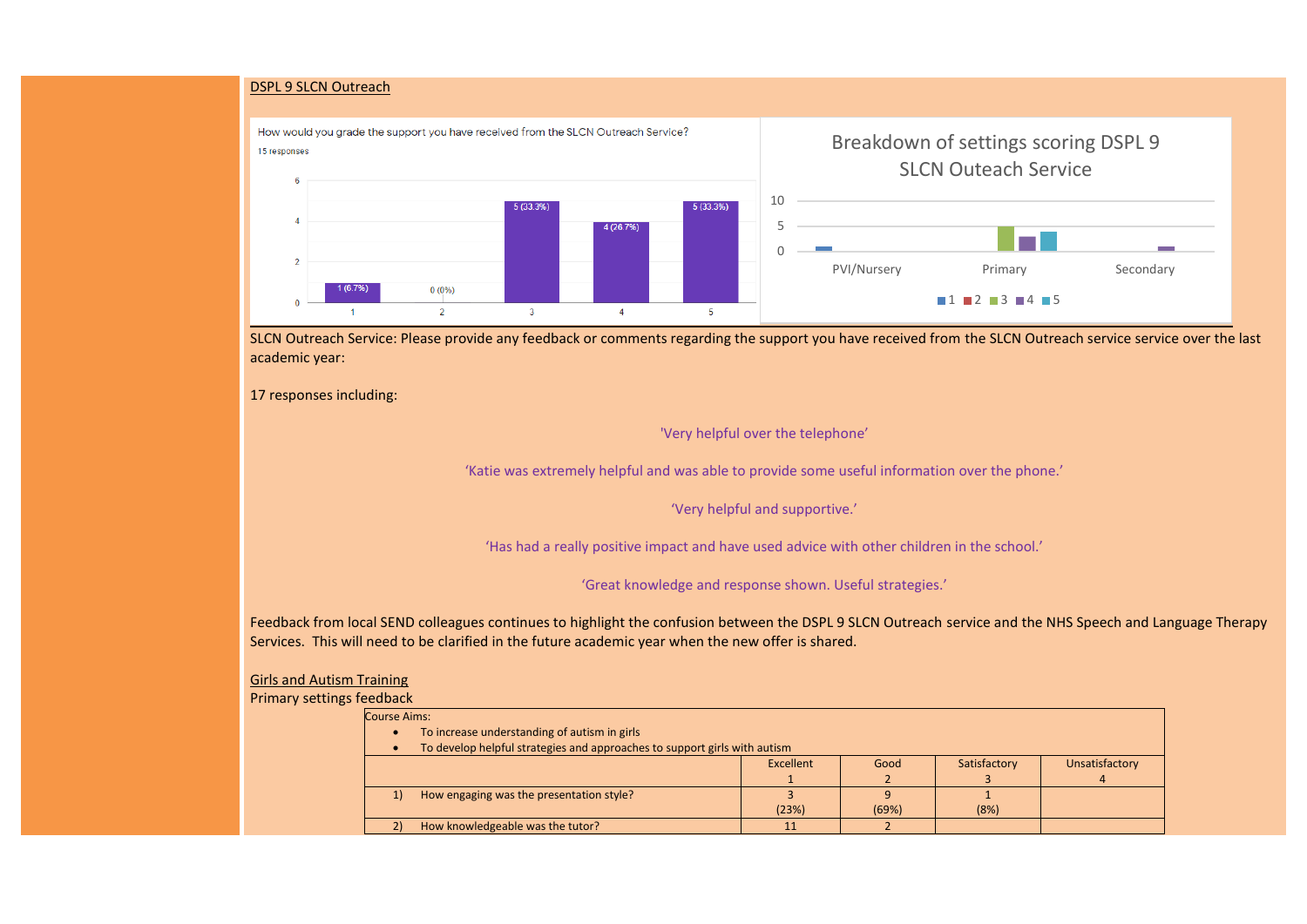#### DSPL 9 SLCN Outreach



SLCN Outreach Service: Please provide any feedback or comments regarding the support you have received from the SLCN Outreach service service over the last academic year:

17 responses including:

'Very helpful over the telephone'

'Katie was extremely helpful and was able to provide some useful information over the phone.'

'Very helpful and supportive.'

'Has had a really positive impact and have used advice with other children in the school.'

'Great knowledge and response shown. Useful strategies.'

Feedback from local SEND colleagues continues to highlight the confusion between the DSPL 9 SLCN Outreach service and the NHS Speech and Language Therapy Services. This will need to be clarified in the future academic year when the new offer is shared.

Girls and Autism Training

Primary setting

| ts feedback.                                                              |                                          |           |       |              |                |  |  |  |
|---------------------------------------------------------------------------|------------------------------------------|-----------|-------|--------------|----------------|--|--|--|
| <b>Course Aims:</b>                                                       |                                          |           |       |              |                |  |  |  |
| To increase understanding of autism in girls<br>$\bullet$                 |                                          |           |       |              |                |  |  |  |
| To develop helpful strategies and approaches to support girls with autism |                                          |           |       |              |                |  |  |  |
|                                                                           |                                          | Excellent | Good  | Satisfactory | Unsatisfactory |  |  |  |
|                                                                           |                                          |           |       |              |                |  |  |  |
| 1)                                                                        | How engaging was the presentation style? |           | a     |              |                |  |  |  |
|                                                                           |                                          | (23%)     | (69%) | (8%)         |                |  |  |  |
| $\mathbf{2}$                                                              | How knowledgeable was the tutor?         |           |       |              |                |  |  |  |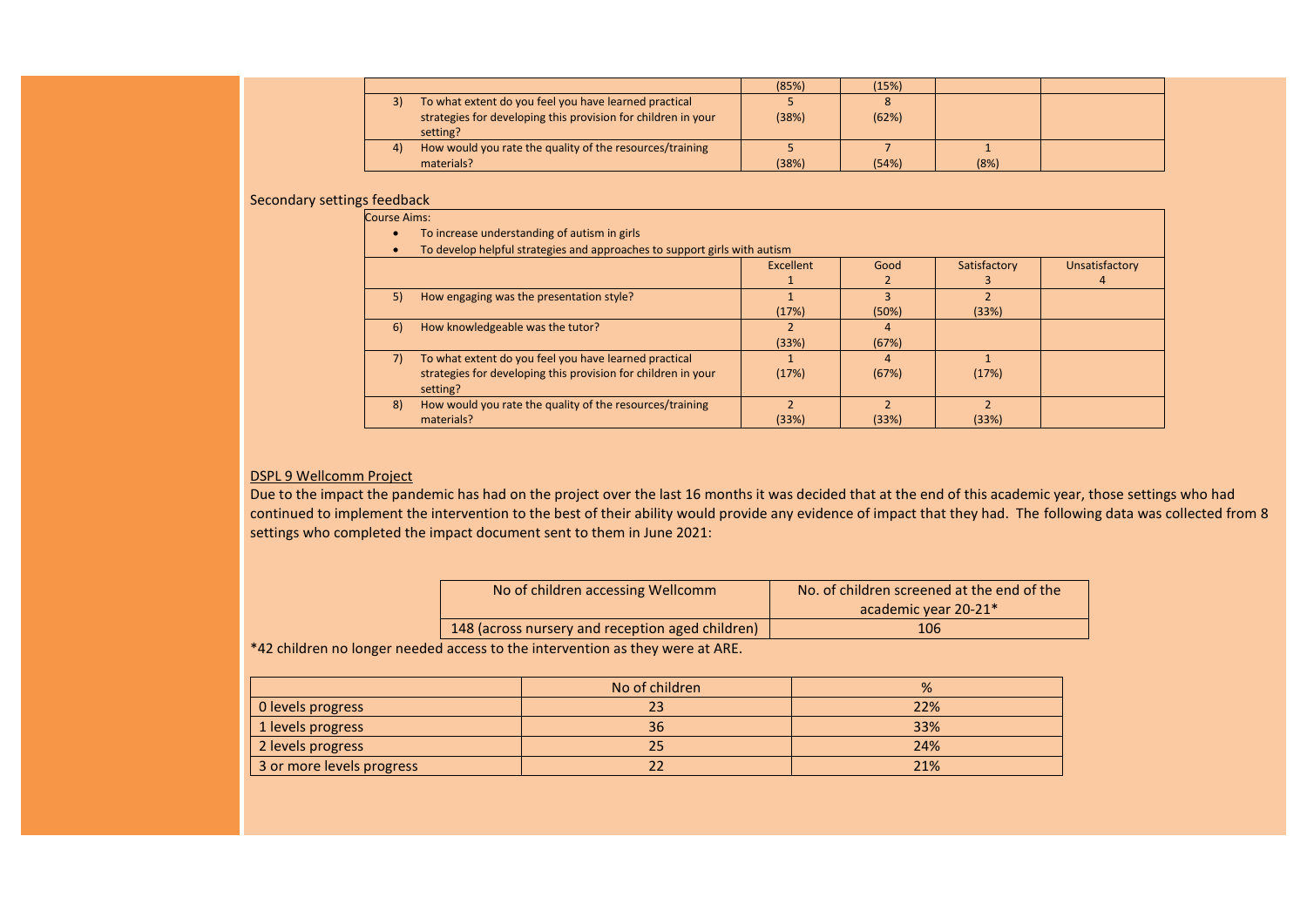|  |                                                                           | (85%) | (15%) |      |  |
|--|---------------------------------------------------------------------------|-------|-------|------|--|
|  | To what extent do you feel you have learned practical                     |       |       |      |  |
|  | strategies for developing this provision for children in your<br>setting? | (38%) | (62%) |      |  |
|  | How would you rate the quality of the resources/training                  |       |       |      |  |
|  | materials?                                                                | (38%) | (54%) | (8%) |  |

#### Secondary settings feedback

| <b>Course Aims:</b> |                                                                           |           |       |              |                |
|---------------------|---------------------------------------------------------------------------|-----------|-------|--------------|----------------|
|                     | To increase understanding of autism in girls                              |           |       |              |                |
|                     | To develop helpful strategies and approaches to support girls with autism |           |       |              |                |
|                     |                                                                           | Excellent | Good  | Satisfactory | Unsatisfactory |
|                     |                                                                           |           |       |              |                |
| 5)                  | How engaging was the presentation style?                                  |           |       |              |                |
|                     |                                                                           | (17%)     | (50%) | (33%)        |                |
| 6)                  | How knowledgeable was the tutor?                                          |           | 4     |              |                |
|                     |                                                                           | (33%)     | (67%) |              |                |
| 7)                  | To what extent do you feel you have learned practical                     |           | 4     |              |                |
|                     | strategies for developing this provision for children in your             | (17%)     | (67%) | (17%)        |                |
|                     | setting?                                                                  |           |       |              |                |
| 8)                  | How would you rate the quality of the resources/training                  |           |       |              |                |
|                     | materials?                                                                | (33%)     | (33%) | (33%)        |                |

#### DSPL 9 Wellcomm Project

Due to the impact the pandemic has had on the project over the last 16 months it was decided that at the end of this academic year, those settings who had continued to implement the intervention to the best of their ability would provide any evidence of impact that they had. The following data was collected from 8 settings who completed the impact document sent to them in June 2021:

| No of children accessing Wellcomm                | No. of children screened at the end of the |  |  |
|--------------------------------------------------|--------------------------------------------|--|--|
|                                                  | academic year 20-21*                       |  |  |
| 148 (across nursery and reception aged children) | 106                                        |  |  |

\*42 children no longer needed access to the intervention as they were at ARE.

|                           | No of children | %   |
|---------------------------|----------------|-----|
| 0 levels progress         |                | 22% |
| 1 levels progress         | 36             | 33% |
| 2 levels progress         | 25             | 24% |
| 3 or more levels progress |                | 21% |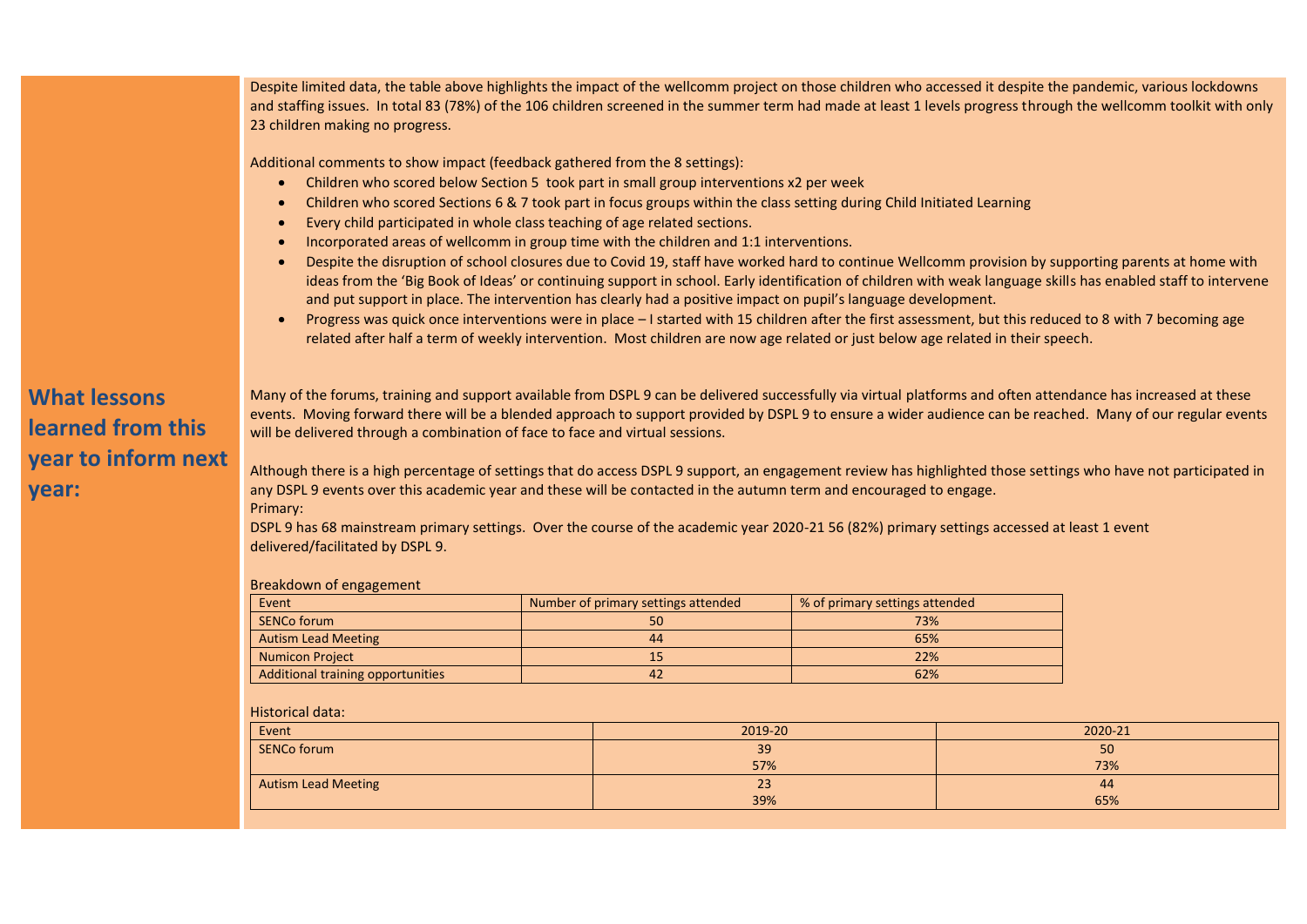|                                                                          | Despite limited data, the table above highlights the impact of the wellcomm project on those children who accessed it despite the pandemic, various lockdowns<br>and staffing issues. In total 83 (78%) of the 106 children screened in the summer term had made at least 1 levels progress through the wellcomm toolkit with only<br>23 children making no progress.                                                                                                                                                                                                                                                                                                                                                                                                                                                                                                                                                                                                                                                                                                                                                                                                                                     |           |                                     |                                |  |         |  |
|--------------------------------------------------------------------------|-----------------------------------------------------------------------------------------------------------------------------------------------------------------------------------------------------------------------------------------------------------------------------------------------------------------------------------------------------------------------------------------------------------------------------------------------------------------------------------------------------------------------------------------------------------------------------------------------------------------------------------------------------------------------------------------------------------------------------------------------------------------------------------------------------------------------------------------------------------------------------------------------------------------------------------------------------------------------------------------------------------------------------------------------------------------------------------------------------------------------------------------------------------------------------------------------------------|-----------|-------------------------------------|--------------------------------|--|---------|--|
|                                                                          | Additional comments to show impact (feedback gathered from the 8 settings):<br>Children who scored below Section 5 took part in small group interventions x2 per week<br>Children who scored Sections 6 & 7 took part in focus groups within the class setting during Child Initiated Learning<br>Every child participated in whole class teaching of age related sections.<br>Incorporated areas of wellcomm in group time with the children and 1:1 interventions.<br>Despite the disruption of school closures due to Covid 19, staff have worked hard to continue Wellcomm provision by supporting parents at home with<br>ideas from the 'Big Book of Ideas' or continuing support in school. Early identification of children with weak language skills has enabled staff to intervene<br>and put support in place. The intervention has clearly had a positive impact on pupil's language development.<br>Progress was quick once interventions were in place - I started with 15 children after the first assessment, but this reduced to 8 with 7 becoming age<br>related after half a term of weekly intervention. Most children are now age related or just below age related in their speech. |           |                                     |                                |  |         |  |
| <b>What lessons</b><br>learned from this<br>year to inform next<br>year: | Many of the forums, training and support available from DSPL 9 can be delivered successfully via virtual platforms and often attendance has increased at these<br>events. Moving forward there will be a blended approach to support provided by DSPL 9 to ensure a wider audience can be reached. Many of our regular events<br>will be delivered through a combination of face to face and virtual sessions.<br>Although there is a high percentage of settings that do access DSPL 9 support, an engagement review has highlighted those settings who have not participated in<br>any DSPL 9 events over this academic year and these will be contacted in the autumn term and encouraged to engage.<br>Primary:<br>DSPL 9 has 68 mainstream primary settings. Over the course of the academic year 2020-21 56 (82%) primary settings accessed at least 1 event<br>delivered/facilitated by DSPL 9.                                                                                                                                                                                                                                                                                                    |           |                                     |                                |  |         |  |
|                                                                          | Breakdown of engagement                                                                                                                                                                                                                                                                                                                                                                                                                                                                                                                                                                                                                                                                                                                                                                                                                                                                                                                                                                                                                                                                                                                                                                                   |           |                                     |                                |  |         |  |
|                                                                          | Event                                                                                                                                                                                                                                                                                                                                                                                                                                                                                                                                                                                                                                                                                                                                                                                                                                                                                                                                                                                                                                                                                                                                                                                                     |           | Number of primary settings attended | % of primary settings attended |  |         |  |
|                                                                          | <b>SENCo forum</b>                                                                                                                                                                                                                                                                                                                                                                                                                                                                                                                                                                                                                                                                                                                                                                                                                                                                                                                                                                                                                                                                                                                                                                                        |           | 50                                  | 73%                            |  |         |  |
|                                                                          | <b>Autism Lead Meeting</b>                                                                                                                                                                                                                                                                                                                                                                                                                                                                                                                                                                                                                                                                                                                                                                                                                                                                                                                                                                                                                                                                                                                                                                                | 44<br>65% |                                     |                                |  |         |  |
|                                                                          | <b>Numicon Project</b>                                                                                                                                                                                                                                                                                                                                                                                                                                                                                                                                                                                                                                                                                                                                                                                                                                                                                                                                                                                                                                                                                                                                                                                    |           | 15                                  | 22%                            |  |         |  |
|                                                                          | Additional training opportunities                                                                                                                                                                                                                                                                                                                                                                                                                                                                                                                                                                                                                                                                                                                                                                                                                                                                                                                                                                                                                                                                                                                                                                         | 42<br>62% |                                     |                                |  |         |  |
|                                                                          | <b>Historical data:</b>                                                                                                                                                                                                                                                                                                                                                                                                                                                                                                                                                                                                                                                                                                                                                                                                                                                                                                                                                                                                                                                                                                                                                                                   |           |                                     |                                |  |         |  |
|                                                                          | Event                                                                                                                                                                                                                                                                                                                                                                                                                                                                                                                                                                                                                                                                                                                                                                                                                                                                                                                                                                                                                                                                                                                                                                                                     |           | 2019-20                             |                                |  | 2020-21 |  |
|                                                                          | <b>SENCo forum</b>                                                                                                                                                                                                                                                                                                                                                                                                                                                                                                                                                                                                                                                                                                                                                                                                                                                                                                                                                                                                                                                                                                                                                                                        |           | 39                                  |                                |  | 50      |  |

Autism Lead Meeting

 $\frac{57\%}{23}$ 

39%

73%

44 65%